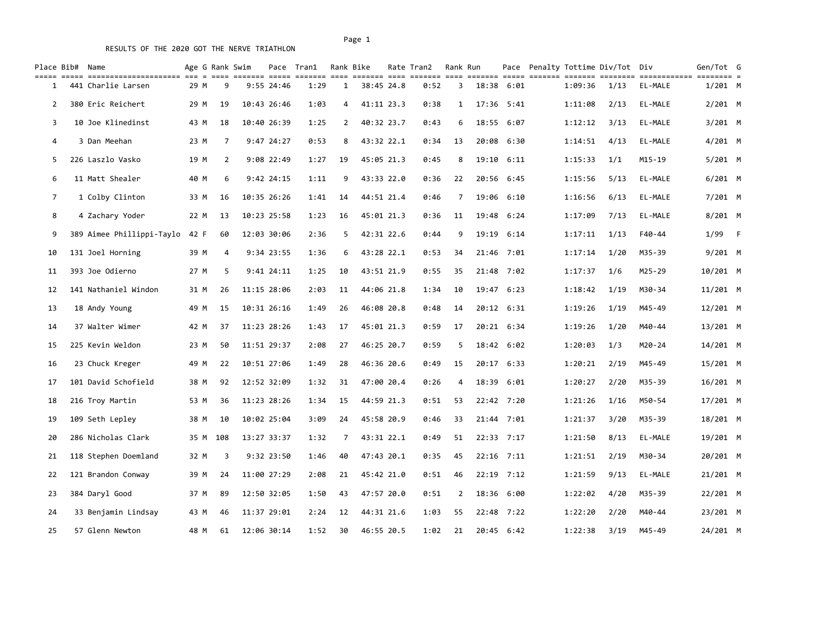| Place Bib# Name |                                                          |      |     | Age G Rank Swim         |             | Pace Tran1            |                | Rank Bike  | Rate Tran2 | Rank Run |       |            | Pace Penalty Tottime Div/Tot Div |      |         | Gen/Tot G |     |
|-----------------|----------------------------------------------------------|------|-----|-------------------------|-------------|-----------------------|----------------|------------|------------|----------|-------|------------|----------------------------------|------|---------|-----------|-----|
| 1               | ===== ====================== === =<br>441 Charlie Larsen | 29 M |     | ---- ------- -----<br>9 | 9:55 24:46  | -------- ----<br>1:29 | 1              | 38:45 24.8 | 0:52       | 3        |       | 18:38 6:01 | 1:09:36                          | 1/13 | EL-MALE | $1/201$ M |     |
| $\overline{2}$  | 380 Eric Reichert                                        | 29 M |     | 19                      | 10:43 26:46 | 1:03                  | 4              | 41:11 23.3 | 0:38       | 1        |       | 17:36 5:41 | 1:11:08                          | 2/13 | EL-MALE | $2/201$ M |     |
| 3               | 10 Joe Klinedinst                                        | 43 M |     | 18                      | 10:40 26:39 | 1:25                  | $\overline{2}$ | 40:32 23.7 | 0:43       | 6        |       | 18:55 6:07 | 1:12:12                          | 3/13 | EL-MALE | $3/201$ M |     |
| 4               | 3 Dan Meehan                                             | 23 M |     | 7                       | 9:47 24:27  | 0:53                  | 8              | 43:32 22.1 | 0:34       | 13       |       | 20:08 6:30 | 1:14:51                          | 4/13 | EL-MALE | 4/201 M   |     |
| 5               | 226 Laszlo Vasko                                         | 19 M |     | 2                       | 9:08 22:49  | 1:27                  | 19             | 45:05 21.3 | 0:45       | 8        |       | 19:10 6:11 | 1:15:33                          | 1/1  | M15-19  | $5/201$ M |     |
| 6               | 11 Matt Shealer                                          | 40 M |     | 6                       | 9:42 24:15  | 1:11                  | 9              | 43:33 22.0 | 0:36       | 22       |       | 20:56 6:45 | 1:15:56                          | 5/13 | EL-MALE | $6/201$ M |     |
| 7               | 1 Colby Clinton                                          | 33 M |     | 16                      | 10:35 26:26 | 1:41                  | 14             | 44:51 21.4 | 0:46       | 7        |       | 19:06 6:10 | 1:16:56                          | 6/13 | EL-MALE | 7/201 M   |     |
| 8               | 4 Zachary Yoder                                          | 22 M |     | 13                      | 10:23 25:58 | 1:23                  | 16             | 45:01 21.3 | 0:36       | 11       | 19:48 | 6:24       | 1:17:09                          | 7/13 | EL-MALE | $8/201$ M |     |
| 9               | 389 Aimee Phillippi-Taylo                                | 42 F |     | 60                      | 12:03 30:06 | 2:36                  | 5              | 42:31 22.6 | 0:44       | 9        |       | 19:19 6:14 | 1:17:11                          | 1/13 | F40-44  | 1/99      | – F |
| 10              | 131 Joel Horning                                         | 39 M |     | 4                       | 9:34 23:55  | 1:36                  | 6              | 43:28 22.1 | 0:53       | 34       |       | 21:46 7:01 | 1:17:14                          | 1/20 | M35-39  | 9/201 M   |     |
| 11              | 393 Joe Odierno                                          | 27 M |     | 5                       | 9:41 24:11  | 1:25                  | 10             | 43:51 21.9 | 0:55       | 35       |       | 21:48 7:02 | 1:17:37                          | 1/6  | M25-29  | 10/201 M  |     |
| 12              | 141 Nathaniel Windon                                     | 31 M |     | 26                      | 11:15 28:06 | 2:03                  | 11             | 44:06 21.8 | 1:34       | 10       |       | 19:47 6:23 | 1:18:42                          | 1/19 | M30-34  | 11/201 M  |     |
| 13              | 18 Andy Young                                            | 49 M |     | 15                      | 10:31 26:16 | 1:49                  | 26             | 46:08 20.8 | 0:48       | 14       |       | 20:12 6:31 | 1:19:26                          | 1/19 | M45-49  | 12/201 M  |     |
| 14              | 37 Walter Wimer                                          | 42 M |     | 37                      | 11:23 28:26 | 1:43                  | 17             | 45:01 21.3 | 0:59       | 17       |       | 20:21 6:34 | 1:19:26                          | 1/20 | M40-44  | 13/201 M  |     |
| 15              | 225 Kevin Weldon                                         | 23 M |     | 50                      | 11:51 29:37 | 2:08                  | 27             | 46:25 20.7 | 0:59       | 5        |       | 18:42 6:02 | 1:20:03                          | 1/3  | M20-24  | 14/201 M  |     |
| 16              | 23 Chuck Kreger                                          | 49 M |     | 22                      | 10:51 27:06 | 1:49                  | 28             | 46:36 20.6 | 0:49       | 15       |       | 20:17 6:33 | 1:20:21                          | 2/19 | M45-49  | 15/201 M  |     |
| 17              | 101 David Schofield                                      | 38 M |     | 92                      | 12:52 32:09 | 1:32                  | 31             | 47:00 20.4 | 0:26       | 4        |       | 18:39 6:01 | 1:20:27                          | 2/20 | M35-39  | 16/201 M  |     |
| 18              | 216 Troy Martin                                          | 53 M |     | 36                      | 11:23 28:26 | 1:34                  | 15             | 44:59 21.3 | 0:51       | 53       |       | 22:42 7:20 | 1:21:26                          | 1/16 | M50-54  | 17/201 M  |     |
| 19              | 109 Seth Lepley                                          | 38 M |     | 10                      | 10:02 25:04 | 3:09                  | 24             | 45:58 20.9 | 0:46       | 33       |       | 21:44 7:01 | 1:21:37                          | 3/20 | M35-39  | 18/201 M  |     |
| 20              | 286 Nicholas Clark                                       | 35 M | 108 |                         | 13:27 33:37 | 1:32                  | 7              | 43:31 22.1 | 0:49       | 51       |       | 22:33 7:17 | 1:21:50                          | 8/13 | EL-MALE | 19/201 M  |     |
| 21              | 118 Stephen Doemland                                     | 32 M |     | 3                       | 9:32 23:50  | 1:46                  | 40             | 47:43 20.1 | 0:35       | 45       |       | 22:16 7:11 | 1:21:51                          | 2/19 | M30-34  | 20/201 M  |     |
| 22              | 121 Brandon Conway                                       | 39 M |     | 24                      | 11:00 27:29 | 2:08                  | 21             | 45:42 21.0 | 0:51       | 46       |       | 22:19 7:12 | 1:21:59                          | 9/13 | EL-MALE | 21/201 M  |     |
| 23              | 384 Daryl Good                                           | 37 M |     | 89                      | 12:50 32:05 | 1:50                  | 43             | 47:57 20.0 | 0:51       | 2        |       | 18:36 6:00 | 1:22:02                          | 4/20 | M35-39  | 22/201 M  |     |
| 24              | 33 Benjamin Lindsay                                      | 43 M |     | 46                      | 11:37 29:01 | 2:24                  | 12             | 44:31 21.6 | 1:03       | 55       |       | 22:48 7:22 | 1:22:20                          | 2/20 | M40-44  | 23/201 M  |     |
| 25              | 57 Glenn Newton                                          | 48 M |     | 61                      | 12:06 30:14 | 1:52                  | 30             | 46:55 20.5 | 1:02       | 21       |       | 20:45 6:42 | 1:22:38                          | 3/19 | M45-49  | 24/201 M  |     |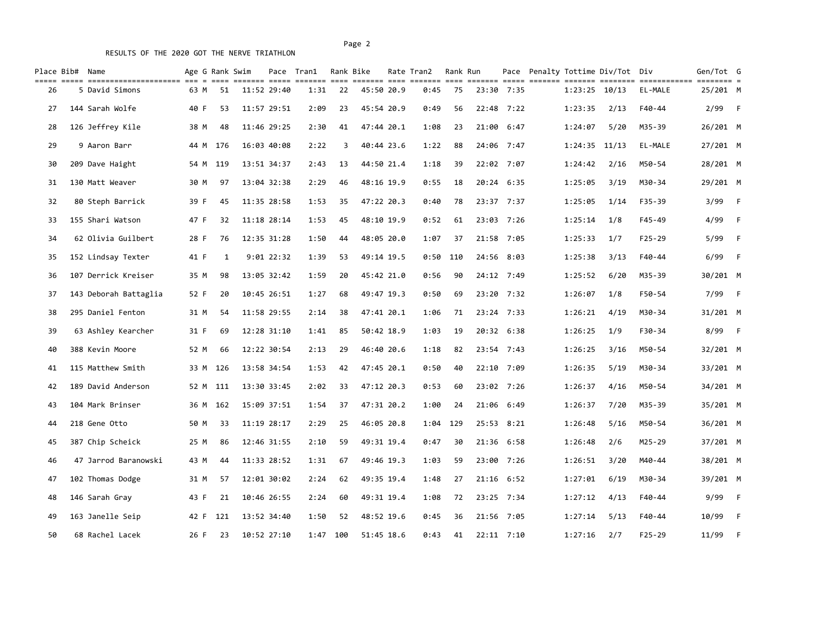# RESULTS OF THE 2020 GOT THE NERVE TRIATHLON

| Place Bib# Name |                                                      |      |          | Age G Rank Swim |              | Pace Tran1            |     | Rank Bike  | Rate Tran2 | Rank Run |       |              | Pace Penalty Tottime Div/Tot Div |      |            | Gen/Tot G                |      |
|-----------------|------------------------------------------------------|------|----------|-----------------|--------------|-----------------------|-----|------------|------------|----------|-------|--------------|----------------------------------|------|------------|--------------------------|------|
| 26              | ===== ====================== === =<br>5 David Simons | 63 M | 51       | ------- -----   | 11:52 29:40  | -------- ----<br>1:31 | 22  | 45:50 20.9 | 0:45       | 75       |       | 23:30 7:35   | $1:23:25$ 10/13                  |      | EL-MALE    | $=$ ========<br>25/201 M |      |
| 27              | 144 Sarah Wolfe                                      | 40 F | 53       |                 | 11:57 29:51  | 2:09                  | 23  | 45:54 20.9 | 0:49       | 56       |       | 22:48 7:22   | 1:23:35                          | 2/13 | F40-44     | 2/99                     | $-F$ |
| 28              | 126 Jeffrey Kile                                     | 38 M | 48       |                 | 11:46 29:25  | 2:30                  | 41  | 47:44 20.1 | 1:08       | 23       | 21:00 | 6:47         | 1:24:07                          | 5/20 | M35-39     | 26/201 M                 |      |
| 29              | 9 Aaron Barr                                         |      | 44 M 176 |                 | 16:03 40:08  | 2:22                  | 3   | 40:44 23.6 | 1:22       | 88       |       | 24:06 7:47   | $1:24:35$ $11/13$                |      | EL-MALE    | 27/201 M                 |      |
| 30              | 209 Dave Haight                                      |      | 54 M 119 |                 | 13:51 34:37  | 2:43                  | 13  | 44:50 21.4 | 1:18       | 39       |       | 22:02 7:07   | 1:24:42                          | 2/16 | M50-54     | 28/201 M                 |      |
| 31              | 130 Matt Weaver                                      | 30 M | 97       |                 | 13:04 32:38  | 2:29                  | 46  | 48:16 19.9 | 0:55       | 18       |       | 20:24 6:35   | 1:25:05                          | 3/19 | M30-34     | 29/201 M                 |      |
| 32              | 80 Steph Barrick                                     | 39 F | 45       |                 | 11:35 28:58  | 1:53                  | 35  | 47:22 20.3 | 0:40       | 78       |       | 23:37 7:37   | 1:25:05                          | 1/14 | $F35 - 39$ | 3/99                     | - F  |
| 33              | 155 Shari Watson                                     | 47 F | 32       |                 | 11:18 28:14  | 1:53                  | 45  | 48:10 19.9 | 0:52       | 61       |       | 23:03 7:26   | 1:25:14                          | 1/8  | $F45 - 49$ | 4/99                     | $-F$ |
| 34              | 62 Olivia Guilbert                                   | 28 F | 76       |                 | 12:35 31:28  | 1:50                  | 44  | 48:05 20.0 | 1:07       | 37       |       | 21:58 7:05   | 1:25:33                          | 1/7  | $F25 - 29$ | 5/99                     | - F  |
| 35              | 152 Lindsay Texter                                   | 41 F |          | $\mathbf{1}$    | $9:01$ 22:32 | 1:39                  | 53  | 49:14 19.5 | 0:50       | 110      |       | 24:56 8:03   | 1:25:38                          | 3/13 | $F40 - 44$ | 6/99                     | $-F$ |
| 36              | 107 Derrick Kreiser                                  | 35 M | 98       |                 | 13:05 32:42  | 1:59                  | 20  | 45:42 21.0 | 0:56       | 90       |       | 24:12 7:49   | 1:25:52                          | 6/20 | M35-39     | 30/201 M                 |      |
| 37              | 143 Deborah Battaglia                                | 52 F | 20       |                 | 10:45 26:51  | 1:27                  | 68  | 49:47 19.3 | 0:50       | 69       |       | 23:20 7:32   | 1:26:07                          | 1/8  | F50-54     | 7/99                     | - F  |
| 38              | 295 Daniel Fenton                                    | 31 M | 54       |                 | 11:58 29:55  | 2:14                  | 38  | 47:41 20.1 | 1:06       | 71       |       | 23:24 7:33   | 1:26:21                          | 4/19 | M30-34     | 31/201 M                 |      |
| 39              | 63 Ashley Kearcher                                   | 31 F | 69       |                 | 12:28 31:10  | 1:41                  | 85  | 50:42 18.9 | 1:03       | 19       |       | 20:32 6:38   | 1:26:25                          | 1/9  | F30-34     | 8/99                     | - F  |
| 40              | 388 Kevin Moore                                      | 52 M | 66       |                 | 12:22 30:54  | 2:13                  | 29  | 46:40 20.6 | 1:18       | 82       |       | 23:54 7:43   | 1:26:25                          | 3/16 | M50-54     | 32/201 M                 |      |
| 41              | 115 Matthew Smith                                    |      | 33 M 126 |                 | 13:58 34:54  | 1:53                  | 42  | 47:45 20.1 | 0:50       | 40       |       | 22:10 7:09   | 1:26:35                          | 5/19 | M30-34     | 33/201 M                 |      |
| 42              | 189 David Anderson                                   |      | 52 M 111 |                 | 13:30 33:45  | 2:02                  | 33  | 47:12 20.3 | 0:53       | 60       |       | 23:02 7:26   | 1:26:37                          | 4/16 | M50-54     | 34/201 M                 |      |
| 43              | 104 Mark Brinser                                     |      | 36 M 162 |                 | 15:09 37:51  | 1:54                  | 37  | 47:31 20.2 | 1:00       | 24       |       | 21:06 6:49   | 1:26:37                          | 7/20 | M35-39     | 35/201 M                 |      |
| 44              | 218 Gene Otto                                        | 50 M | 33       |                 | 11:19 28:17  | 2:29                  | 25  | 46:05 20.8 | 1:04       | 129      |       | 25:53 8:21   | 1:26:48                          | 5/16 | M50-54     | 36/201 M                 |      |
| 45              | 387 Chip Scheick                                     | 25 M | 86       |                 | 12:46 31:55  | 2:10                  | 59  | 49:31 19.4 | 0:47       | 30       |       | 21:36 6:58   | 1:26:48                          | 2/6  | M25-29     | 37/201 M                 |      |
| 46              | 47 Jarrod Baranowski                                 | 43 M | 44       |                 | 11:33 28:52  | 1:31                  | 67  | 49:46 19.3 | 1:03       | 59       |       | 23:00 7:26   | 1:26:51                          | 3/20 | M40-44     | 38/201 M                 |      |
| 47              | 102 Thomas Dodge                                     | 31 M | 57       |                 | 12:01 30:02  | 2:24                  | 62  | 49:35 19.4 | 1:48       | 27       |       | 21:16 6:52   | 1:27:01                          | 6/19 | M30-34     | 39/201 M                 |      |
| 48              | 146 Sarah Gray                                       | 43 F | 21       |                 | 10:46 26:55  | 2:24                  | 60  | 49:31 19.4 | 1:08       | 72       |       | 23:25 7:34   | 1:27:12                          | 4/13 | F40-44     | 9/99                     | - F  |
| 49              | 163 Janelle Seip                                     | 42 F | 121      |                 | 13:52 34:40  | 1:50                  | 52  | 48:52 19.6 | 0:45       | 36       |       | 21:56 7:05   | 1:27:14                          | 5/13 | F40-44     | 10/99                    | $-F$ |
| 50              | 68 Rachel Lacek                                      | 26 F | 23       |                 | 10:52 27:10  | 1:47                  | 100 | 51:45 18.6 | 0:43       | 41       |       | $22:11$ 7:10 | 1:27:16                          | 2/7  | $F25 - 29$ | 11/99                    | $-F$ |

Page 2 and 2 and 2 and 2 and 2 and 2 and 2 and 2 and 2 and 2 and 2 and 2 and 2 and 2 and 2 and 2 and 2 and 2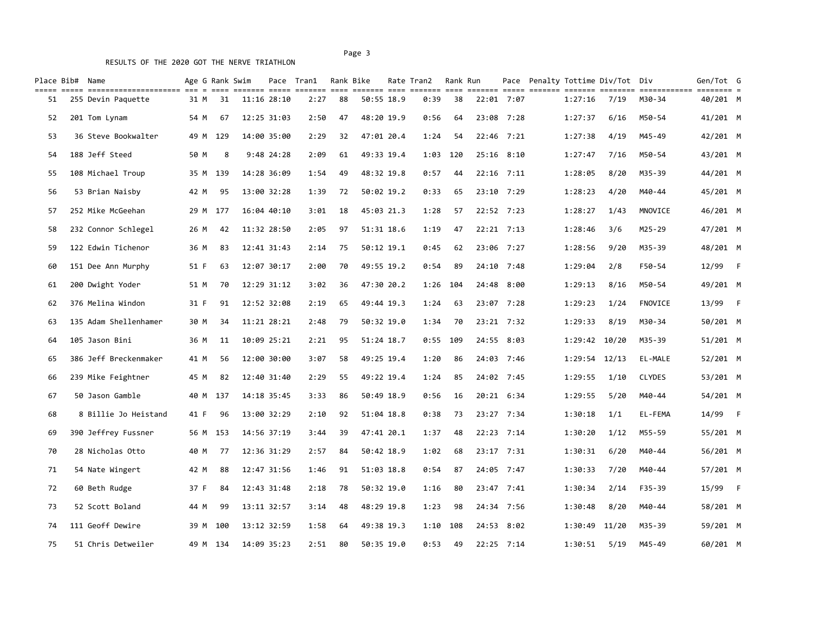Page 3 and 2012 and 2012 and 2012 and 2012 and 2012 and 2012 and 2012 and 2012 and 2012 and 2012 and 2012 and 2012 and 2012 and 2012 and 2012 and 2012 and 2012 and 2012 and 2012 and 2012 and 2012 and 2012 and 2012 and 2012

| Place Bib# Name | ----- --------------------- --- - |      | $= = = =$ | Age G Rank Swim |              | Pace Tran1<br>------- ----- ------- ---- |    | Rank Bike  | Rate Tran2 | Rank Run |            |                | Pace Penalty Tottime Div/Tot Div |                   |               | Gen/Tot G<br>$=$ ======== |     |
|-----------------|-----------------------------------|------|-----------|-----------------|--------------|------------------------------------------|----|------------|------------|----------|------------|----------------|----------------------------------|-------------------|---------------|---------------------------|-----|
| 51              | 255 Devin Paquette                | 31 M |           | 31              | 11:16 28:10  | 2:27                                     | 88 | 50:55 18.9 | 0:39       | 38       | 22:01 7:07 |                | 1:27:16                          | 7/19              | M30-34        | 40/201 M                  |     |
| 52              | 201 Tom Lynam                     | 54 M |           | 67              | 12:25 31:03  | 2:50                                     | 47 | 48:20 19.9 | 0:56       | 64       |            | 23:08 7:28     | 1:27:37                          | 6/16              | M50-54        | 41/201 M                  |     |
| 53              | 36 Steve Bookwalter               | 49 M |           | 129             | 14:00 35:00  | 2:29                                     | 32 | 47:01 20.4 | 1:24       | 54       |            | $22:46$ 7:21   | 1:27:38                          | 4/19              | M45-49        | 42/201 M                  |     |
| 54              | 188 Jeff Steed                    | 50 M |           | 8               | $9:48$ 24:28 | 2:09                                     | 61 | 49:33 19.4 | 1:03       | 120      |            | $25:16$ $8:10$ | 1:27:47                          | 7/16              | M50-54        | 43/201 M                  |     |
| 55              | 108 Michael Troup                 |      | 35 M 139  |                 | 14:28 36:09  | 1:54                                     | 49 | 48:32 19.8 | 0:57       | 44       |            | $22:16$ 7:11   | 1:28:05                          | 8/20              | M35-39        | 44/201 M                  |     |
| 56              | 53 Brian Naisby                   | 42 M |           | 95              | 13:00 32:28  | 1:39                                     | 72 | 50:02 19.2 | 0:33       | 65       |            | $23:10$ 7:29   | 1:28:23                          | 4/20              | M40-44        | 45/201 M                  |     |
| 57              | 252 Mike McGeehan                 |      | 29 M 177  |                 | 16:04 40:10  | 3:01                                     | 18 | 45:03 21.3 | 1:28       | 57       |            | 22:52 7:23     | 1:28:27                          | 1/43              | MNOVICE       | 46/201 M                  |     |
| 58              | 232 Connor Schlegel               | 26 M |           | 42              | 11:32 28:50  | 2:05                                     | 97 | 51:31 18.6 | 1:19       | 47       |            | 22:21 7:13     | 1:28:46                          | 3/6               | M25-29        | 47/201 M                  |     |
| 59              | 122 Edwin Tichenor                | 36 M |           | 83              | 12:41 31:43  | 2:14                                     | 75 | 50:12 19.1 | 0:45       | 62       |            | 23:06 7:27     | 1:28:56                          | 9/20              | M35-39        | 48/201 M                  |     |
| 60              | 151 Dee Ann Murphy                | 51 F |           | 63              | 12:07 30:17  | 2:00                                     | 70 | 49:55 19.2 | 0:54       | 89       |            | 24:10 7:48     | 1:29:04                          | 2/8               | F50-54        | 12/99                     | – F |
| 61              | 200 Dwight Yoder                  | 51 M |           | 70              | 12:29 31:12  | 3:02                                     | 36 | 47:30 20.2 | 1:26       | 104      |            | 24:48 8:00     | 1:29:13                          | 8/16              | M50-54        | 49/201 M                  |     |
| 62              | 376 Melina Windon                 | 31 F |           | 91              | 12:52 32:08  | 2:19                                     | 65 | 49:44 19.3 | 1:24       | 63       |            | 23:07 7:28     | 1:29:23                          | 1/24              | FNOVICE       | 13/99                     | – F |
| 63              | 135 Adam Shellenhamer             | 30 M |           | 34              | 11:21 28:21  | 2:48                                     | 79 | 50:32 19.0 | 1:34       | 70       |            | 23:21 7:32     | 1:29:33                          | 8/19              | M30-34        | 50/201 M                  |     |
| 64              | 105 Jason Bini                    | 36 M |           | 11              | 10:09 25:21  | 2:21                                     | 95 | 51:24 18.7 | 0:55       | 109      |            | 24:55 8:03     |                                  | 1:29:42 10/20     | M35-39        | 51/201 M                  |     |
| 65              | 386 Jeff Breckenmaker             | 41 M |           | 56              | 12:00 30:00  | 3:07                                     | 58 | 49:25 19.4 | 1:20       | 86       |            | 24:03 7:46     |                                  | $1:29:54$ $12/13$ | EL-MALE       | 52/201 M                  |     |
| 66              | 239 Mike Feightner                | 45 M |           | 82              | 12:40 31:40  | 2:29                                     | 55 | 49:22 19.4 | 1:24       | 85       |            | 24:02 7:45     | 1:29:55                          | 1/10              | <b>CLYDES</b> | 53/201 M                  |     |
| 67              | 50 Jason Gamble                   |      | 40 M 137  |                 | 14:18 35:45  | 3:33                                     | 86 | 50:49 18.9 | 0:56       | 16       |            | 20:21 6:34     | 1:29:55                          | 5/20              | M40-44        | 54/201 M                  |     |
| 68              | 8 Billie Jo Heistand              | 41 F |           | 96              | 13:00 32:29  | 2:10                                     | 92 | 51:04 18.8 | 0:38       | 73       |            | 23:27 7:34     | 1:30:18                          | 1/1               | EL-FEMA       | 14/99                     | – F |
| 69              | 390 Jeffrey Fussner               | 56 M | 153       |                 | 14:56 37:19  | 3:44                                     | 39 | 47:41 20.1 | 1:37       | 48       |            | $22:23$ 7:14   | 1:30:20                          | 1/12              | M55-59        | 55/201 M                  |     |
| 70              | 28 Nicholas Otto                  | 40 M |           | 77              | 12:36 31:29  | 2:57                                     | 84 | 50:42 18.9 | 1:02       | 68       |            | 23:17 7:31     | 1:30:31                          | 6/20              | M40-44        | 56/201 M                  |     |
| 71              | 54 Nate Wingert                   | 42 M |           | 88              | 12:47 31:56  | 1:46                                     | 91 | 51:03 18.8 | 0:54       | 87       |            | 24:05 7:47     | 1:30:33                          | 7/20              | M40-44        | 57/201 M                  |     |
| 72              | 60 Beth Rudge                     | 37 F |           | 84              | 12:43 31:48  | 2:18                                     | 78 | 50:32 19.0 | 1:16       | 80       |            | 23:47 7:41     | 1:30:34                          | 2/14              | F35-39        | 15/99                     | – F |
| 73              | 52 Scott Boland                   | 44 M |           | 99              | 13:11 32:57  | 3:14                                     | 48 | 48:29 19.8 | 1:23       | 98       |            | 24:34 7:56     | 1:30:48                          | 8/20              | M40-44        | 58/201 M                  |     |
| 74              | 111 Geoff Dewire                  | 39 M | 100       |                 | 13:12 32:59  | 1:58                                     | 64 | 49:38 19.3 | 1:10       | 108      |            | 24:53 8:02     |                                  | 1:30:49 11/20     | M35-39        | 59/201 M                  |     |
| 75              | 51 Chris Detweiler                |      | 49 M 134  |                 | 14:09 35:23  | 2:51                                     | 80 | 50:35 19.0 | 0:53       | 49       |            | $22:25$ 7:14   | 1:30:51                          | 5/19              | M45-49        | 60/201 M                  |     |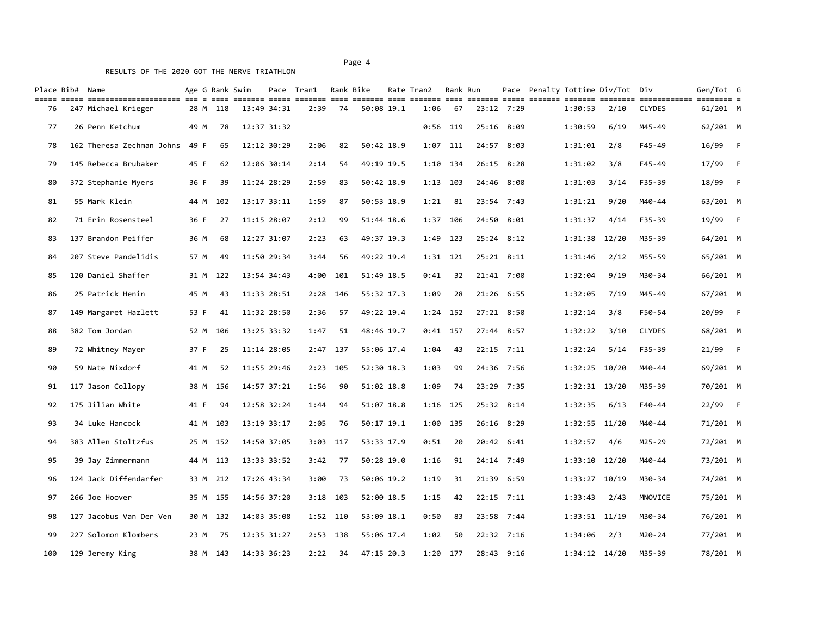|     | Place Bib# Name         | <u> 1922 - 1923 - 1923 - 1934 - 1935 - 1936 - 1936 - 1936 - 1936 - 1936 - 1936 - 1936 - 1937 - 1938 - 1939 - 193</u> |      |          | Age G Rank Swim |             | Pace Tran1 |            | Rank Bike  | Rate Tran2 | Rank Run   |                |                   | Pace Penalty Tottime Div/Tot Div |               | Gen/Tot G<br>$=$ =========== |                |
|-----|-------------------------|----------------------------------------------------------------------------------------------------------------------|------|----------|-----------------|-------------|------------|------------|------------|------------|------------|----------------|-------------------|----------------------------------|---------------|------------------------------|----------------|
| 76  | 247 Michael Krieger     |                                                                                                                      |      | 28 M 118 |                 | 13:49 34:31 | 2:39       | 74         | 50:08 19.1 | 1:06       | 67         | 23:12 7:29     | 1:30:53           | 2/10                             | <b>CLYDES</b> | 61/201 M                     |                |
| 77  | 26 Penn Ketchum         |                                                                                                                      | 49 M |          | 78              | 12:37 31:32 |            |            |            |            | $0:56$ 119 | 25:16 8:09     | 1:30:59           | 6/19                             | M45-49        | 62/201 M                     |                |
| 78  |                         | 162 Theresa Zechman Johns                                                                                            | 49 F |          | 65              | 12:12 30:29 | 2:06       | 82         | 50:42 18.9 |            | 1:07 111   | 24:57 8:03     | 1:31:01           | 2/8                              | F45-49        | 16/99 F                      |                |
| 79  | 145 Rebecca Brubaker    |                                                                                                                      | 45 F |          | 62              | 12:06 30:14 | 2:14       | 54         | 49:19 19.5 |            | 1:10 134   | 26:15 8:28     | 1:31:02           | 3/8                              | F45-49        | 17/99                        | $-F$           |
| 80  | 372 Stephanie Myers     |                                                                                                                      | 36 F |          | 39              | 11:24 28:29 | 2:59       | 83         | 50:42 18.9 |            | 1:13 103   | 24:46 8:00     | 1:31:03           | 3/14                             | F35-39        | 18/99                        | $-F$           |
| 81  | 55 Mark Klein           |                                                                                                                      | 44 M | 102      |                 | 13:17 33:11 | 1:59       | 87         | 50:53 18.9 | 1:21       | 81         | 23:54 7:43     | 1:31:21           | 9/20                             | M40-44        | 63/201 M                     |                |
| 82  | 71 Erin Rosensteel      |                                                                                                                      | 36 F |          | 27              | 11:15 28:07 | 2:12       | 99         | 51:44 18.6 |            | 1:37 106   | 24:50 8:01     | 1:31:37           | 4/14                             | F35-39        | 19/99                        | $-F$           |
| 83  | 137 Brandon Peiffer     |                                                                                                                      | 36 M |          | 68              | 12:27 31:07 | 2:23       | 63         | 49:37 19.3 |            | 1:49 123   | $25:24$ 8:12   | 1:31:38 12/20     |                                  | M35-39        | 64/201 M                     |                |
| 84  | 207 Steve Pandelidis    |                                                                                                                      | 57 M |          | 49              | 11:50 29:34 | 3:44       | 56         | 49:22 19.4 |            | $1:31$ 121 | $25:21$ $8:11$ | 1:31:46           | 2/12                             | M55-59        | 65/201 M                     |                |
| 85  | 120 Daniel Shaffer      |                                                                                                                      | 31 M | 122      |                 | 13:54 34:43 | 4:00       | 101        | 51:49 18.5 | 0:41       | 32         | 21:41 7:00     | 1:32:04           | 9/19                             | M30-34        | 66/201 M                     |                |
| 86  | 25 Patrick Henin        |                                                                                                                      | 45 M |          | 43              | 11:33 28:51 |            | 2:28 146   | 55:32 17.3 | 1:09       | 28         | 21:26 6:55     | 1:32:05           | 7/19                             | M45-49        | 67/201 M                     |                |
| 87  | 149 Margaret Hazlett    |                                                                                                                      | 53 F |          | 41              | 11:32 28:50 | 2:36       | 57         | 49:22 19.4 |            | 1:24 152   | 27:21 8:50     | 1:32:14           | 3/8                              | F50-54        | 20/99                        | $-F$           |
| 88  | 382 Tom Jordan          |                                                                                                                      | 52 M | 106      |                 | 13:25 33:32 | 1:47       | 51         | 48:46 19.7 |            | $0:41$ 157 | 27:44 8:57     | 1:32:22           | 3/10                             | <b>CLYDES</b> | 68/201 M                     |                |
| 89  | 72 Whitney Mayer        |                                                                                                                      | 37 F |          | 25              | 11:14 28:05 |            | 2:47 137   | 55:06 17.4 | 1:04       | 43         | 22:15 7:11     | 1:32:24           | 5/14                             | F35-39        | 21/99                        | – F            |
| 90  | 59 Nate Nixdorf         |                                                                                                                      | 41 M |          | 52              | 11:55 29:46 |            | 2:23 105   | 52:30 18.3 | 1:03       | 99         | 24:36 7:56     | 1:32:25 10/20     |                                  | M40-44        | 69/201 M                     |                |
| 91  | 117 Jason Collopy       |                                                                                                                      | 38 M | 156      |                 | 14:57 37:21 | 1:56       | 90         | 51:02 18.8 | 1:09       | 74         | 23:29 7:35     | 1:32:31 13/20     |                                  | M35-39        | 70/201 M                     |                |
| 92  | 175 Jilian White        |                                                                                                                      | 41 F |          | 94              | 12:58 32:24 | 1:44       | 94         | 51:07 18.8 | $1:16$ 125 |            | 25:32 8:14     | 1:32:35           | 6/13                             | F40-44        | 22/99                        | $\overline{F}$ |
| 93  | 34 Luke Hancock         |                                                                                                                      |      | 41 M 103 |                 | 13:19 33:17 | 2:05       | 76         | 50:17 19.1 |            | 1:00 135   | 26:16 8:29     | 1:32:55 11/20     |                                  | M40-44        | 71/201 M                     |                |
| 94  | 383 Allen Stoltzfus     |                                                                                                                      |      | 25 M 152 |                 | 14:50 37:05 |            | $3:03$ 117 | 53:33 17.9 | 0:51       | 20         | 20:42 6:41     | 1:32:57           | 4/6                              | M25-29        | 72/201 M                     |                |
| 95  | 39 Jay Zimmermann       |                                                                                                                      |      | 44 M 113 |                 | 13:33 33:52 | 3:42       | 77         | 50:28 19.0 | 1:16       | 91         | 24:14 7:49     | $1:33:10$ $12/20$ |                                  | M40-44        | 73/201 M                     |                |
| 96  | 124 Jack Diffendarfer   |                                                                                                                      |      | 33 M 212 |                 | 17:26 43:34 | 3:00       | 73         | 50:06 19.2 | 1:19       | 31         | 21:39 6:59     | $1:33:27$ 10/19   |                                  | M30-34        | 74/201 M                     |                |
| 97  | 266 Joe Hoover          |                                                                                                                      |      | 35 M 155 |                 | 14:56 37:20 |            | $3:18$ 103 | 52:00 18.5 | 1:15       | 42         | 22:15 7:11     | 1:33:43           | 2/43                             | MNOVICE       | 75/201 M                     |                |
| 98  | 127 Jacobus Van Der Ven |                                                                                                                      | 30 M | 132      |                 | 14:03 35:08 |            | 1:52 110   | 53:09 18.1 | 0:50       | 83         | 23:58 7:44     | $1:33:51$ $11/19$ |                                  | M30-34        | 76/201 M                     |                |
| 99  | 227 Solomon Klombers    |                                                                                                                      | 23 M |          | 75              | 12:35 31:27 |            | 2:53 138   | 55:06 17.4 | 1:02       | 50         | 22:32 7:16     | 1:34:06           | 2/3                              | M20-24        | 77/201 M                     |                |
| 100 | 129 Jeremy King         |                                                                                                                      | 38 M | 143      |                 | 14:33 36:23 | 2:22       | 34         | 47:15 20.3 |            | $1:20$ 177 | 28:43 9:16     | $1:34:12$ $14/20$ |                                  | M35-39        | 78/201 M                     |                |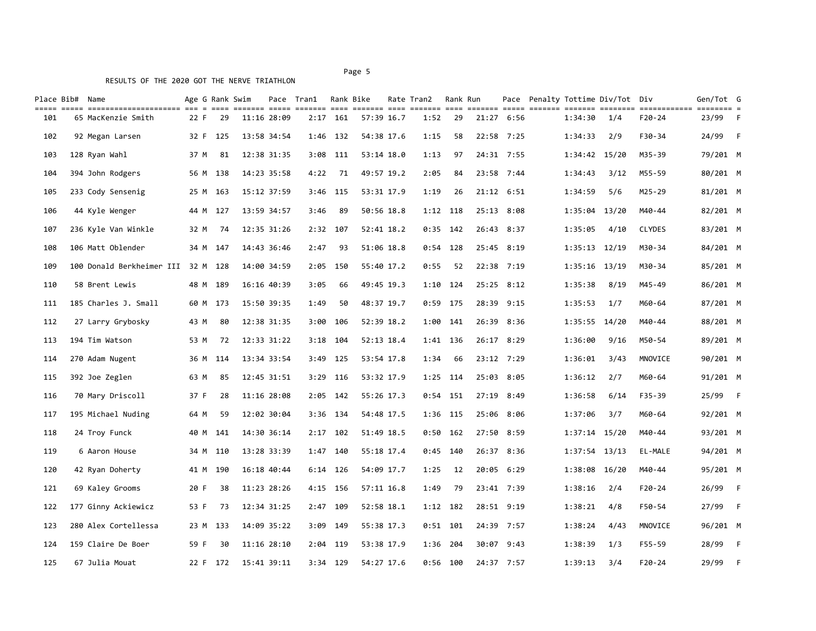| Place Bib# Name |                                    |      |          | Age G Rank Swim |             | Pace Tran1 |            | Rank Bike    | Rate Tran2 | Rank Run   |       |            |                   | Pace Penalty Tottime Div/Tot Div |               | Gen/Tot G           |      |
|-----------------|------------------------------------|------|----------|-----------------|-------------|------------|------------|--------------|------------|------------|-------|------------|-------------------|----------------------------------|---------------|---------------------|------|
| 101             | 65 MacKenzie Smith                 | 22 F | 29       |                 | 11:16 28:09 |            | $2:17$ 161 | 57:39 16.7   | 1:52       | 29         |       | 21:27 6:56 | 1:34:30           | 1/4                              | F20-24        | ======== =<br>23/99 | $-F$ |
| 102             | 92 Megan Larsen                    | 32 F | 125      |                 | 13:58 34:54 |            | 1:46 132   | 54:38 17.6   | 1:15       | 58         |       | 22:58 7:25 | 1:34:33           | 2/9                              | F30-34        | 24/99               | – F  |
| 103             | 128 Ryan Wahl                      | 37 M | 81       |                 | 12:38 31:35 | 3:08       | 111        | 53:14 18.0   | 1:13       | 97         |       | 24:31 7:55 | 1:34:42 15/20     |                                  | M35-39        | 79/201 M            |      |
| 104             | 394 John Rodgers                   |      | 56 M 138 |                 | 14:23 35:58 | 4:22       | 71         | 49:57 19.2   | 2:05       | 84         |       | 23:58 7:44 | 1:34:43           | 3/12                             | M55-59        | 80/201 M            |      |
| 105             | 233 Cody Sensenig                  | 25 M | 163      |                 | 15:12 37:59 | 3:46       | - 115      | 53:31 17.9   | 1:19       | 26         |       | 21:12 6:51 | 1:34:59           | 5/6                              | M25-29        | 81/201 M            |      |
| 106             | 44 Kyle Wenger                     | 44 M | 127      |                 | 13:59 34:57 | 3:46       | 89         | 50:56 18.8   |            | $1:12$ 118 |       | 25:13 8:08 | 1:35:04           | 13/20                            | M40-44        | 82/201 M            |      |
| 107             | 236 Kyle Van Winkle                | 32 M | 74       |                 | 12:35 31:26 |            | 2:32 107   | 52:41 18.2   |            | $0:35$ 142 |       | 26:43 8:37 | 1:35:05           | 4/10                             | <b>CLYDES</b> | 83/201 M            |      |
| 108             | 106 Matt Oblender                  |      | 34 M 147 |                 | 14:43 36:46 | 2:47       | 93         | 51:06 18.8   |            | $0:54$ 128 |       | 25:45 8:19 | $1:35:13$ $12/19$ |                                  | M30-34        | 84/201 M            |      |
| 109             | 100 Donald Berkheimer III 32 M 128 |      |          |                 | 14:00 34:59 |            | 2:05 150   | 55:40 17.2   | 0:55       | 52         |       | 22:38 7:19 | $1:35:16$ $13/19$ |                                  | M30-34        | 85/201 M            |      |
| 110             | 58 Brent Lewis                     |      | 48 M 189 |                 | 16:16 40:39 | 3:05       | 66         | 49:45 19.3   | 1:10       | 124        |       | 25:25 8:12 | 1:35:38           | 8/19                             | M45-49        | 86/201 M            |      |
| 111             | 185 Charles J. Small               |      | 60 M 173 |                 | 15:50 39:35 | 1:49       | 50         | 48:37 19.7   |            | $0:59$ 175 |       | 28:39 9:15 | 1:35:53           | 1/7                              | M60-64        | 87/201 M            |      |
| 112             | 27 Larry Grybosky                  | 43 M | 80       |                 | 12:38 31:35 | 3:00       | 106        | 52:39 18.2   | 1:00       | 141        |       | 26:39 8:36 | 1:35:55 14/20     |                                  | M40-44        | 88/201 M            |      |
| 113             | 194 Tim Watson                     | 53 M | 72       |                 | 12:33 31:22 | 3:18       | - 104      | 52:13 18.4   |            | $1:41$ 136 |       | 26:17 8:29 | 1:36:00           | 9/16                             | M50-54        | 89/201 M            |      |
| 114             | 270 Adam Nugent                    |      | 36 M 114 |                 | 13:34 33:54 | 3:49       | 125        | 53:54 17.8   | 1:34       | 66         |       | 23:12 7:29 | 1:36:01           | 3/43                             | MNOVICE       | 90/201 M            |      |
| 115             | 392 Joe Zeglen                     | 63 M | 85       |                 | 12:45 31:51 |            | 3:29 116   | 53:32 17.9   |            | $1:25$ 114 |       | 25:03 8:05 | 1:36:12           | 2/7                              | M60-64        | 91/201 M            |      |
| 116             | 70 Mary Driscoll                   | 37 F | 28       |                 | 11:16 28:08 | 2:05       | 142        | 55:26 17.3   | 0:54       | 151        |       | 27:19 8:49 | 1:36:58           | 6/14                             | F35-39        | 25/99               | - F  |
| 117             | 195 Michael Nuding                 | 64 M | 59       |                 | 12:02 30:04 |            | 3:36 134   | 54:48 17.5   |            | 1:36 115   |       | 25:06 8:06 | 1:37:06           | 3/7                              | M60-64        | 92/201 M            |      |
| 118             | 24 Troy Funck                      | 40 M | 141      |                 | 14:30 36:14 | 2:17       | 102        | 51:49 18.5   | 0:50       | 162        | 27:50 | 8:59       | $1:37:14$ $15/20$ |                                  | M40-44        | 93/201 M            |      |
| 119             | 6 Aaron House                      | 34 M | 110      |                 | 13:28 33:39 | 1:47       | 140        | 55:18 17.4   | 0:45       | - 140      |       | 26:37 8:36 | $1:37:54$ 13/13   |                                  | EL-MALE       | 94/201 M            |      |
| 120             | 42 Ryan Doherty                    |      | 41 M 190 |                 | 16:18 40:44 |            | $6:14$ 126 | 54:09 17.7   | 1:25       | 12         |       | 20:05 6:29 | 1:38:08 16/20     |                                  | M40-44        | 95/201 M            |      |
| 121             | 69 Kaley Grooms                    | 20 F | 38       |                 | 11:23 28:26 |            | 4:15 156   | $57:11$ 16.8 | 1:49       | 79         |       | 23:41 7:39 | 1:38:16           | 2/4                              | F20-24        | 26/99               | - F  |
| 122             | 177 Ginny Ackiewicz                | 53 F | 73       |                 | 12:34 31:25 |            | 2:47 109   | 52:58 18.1   |            | 1:12 182   |       | 28:51 9:19 | 1:38:21           | 4/8                              | F50-54        | 27/99               | - F  |
| 123             | 280 Alex Cortellessa               |      | 23 M 133 |                 | 14:09 35:22 | 3:09       | - 149      | 55:38 17.3   |            | $0:51$ 101 |       | 24:39 7:57 | 1:38:24           | 4/43                             | MNOVICE       | 96/201 M            |      |
| 124             | 159 Claire De Boer                 | 59 F | 30       |                 | 11:16 28:10 |            | 2:04 119   | 53:38 17.9   |            | 1:36 204   |       | 30:07 9:43 | 1:38:39           | 1/3                              | F55-59        | 28/99               | - F  |
| 125             | 67 Julia Mouat                     | 22 F | 172      |                 | 15:41 39:11 |            | $3:34$ 129 | 54:27 17.6   |            | $0:56$ 100 |       | 24:37 7:57 | 1:39:13           | 3/4                              | $F20 - 24$    | 29/99               | F    |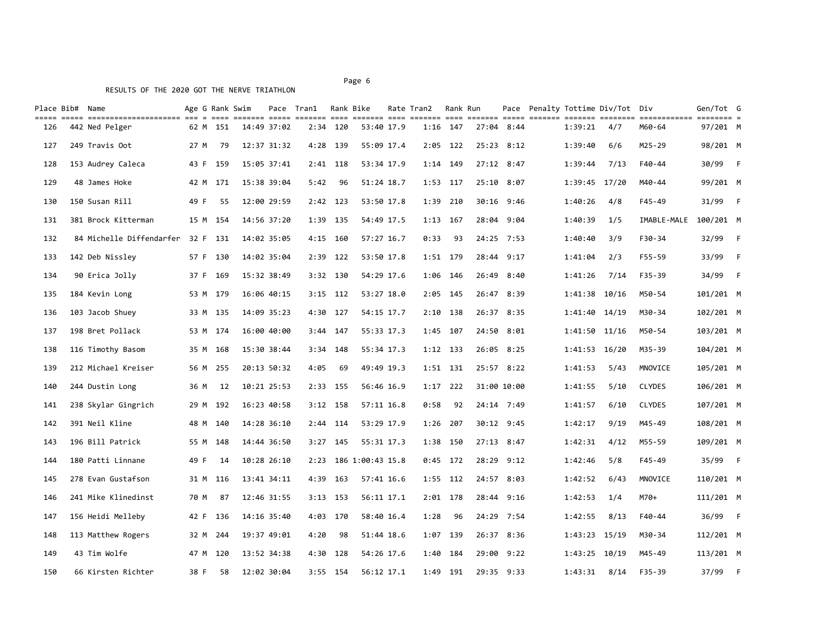| Place Bib# Name |                          |      | Age G Rank Swim |             | Pace Tran1 Rank Bike |            |                  | Rate Tran2 | Rank Run   |       |             |                   | Pace Penalty Tottime Div/Tot Div |               | Gen/Tot G |                |
|-----------------|--------------------------|------|-----------------|-------------|----------------------|------------|------------------|------------|------------|-------|-------------|-------------------|----------------------------------|---------------|-----------|----------------|
| 126             | 442 Ned Pelger           |      | 62 M 151        | 14:49 37:02 |                      | 2:34 120   | 53:40 17.9       |            | 1:16 147   |       | 27:04 8:44  | 1:39:21           | 4/7                              | M60-64        | 97/201 M  |                |
| 127             | 249 Travis Oot           | 27 M | -79             | 12:37 31:32 |                      | 4:28 139   | 55:09 17.4       |            | $2:05$ 122 |       | 25:23 8:12  | 1:39:40           | 6/6                              | M25-29        | 98/201 M  |                |
| 128             | 153 Audrey Caleca        |      | 43 F 159        | 15:05 37:41 |                      | 2:41 118   | 53:34 17.9       |            | 1:14 149   |       | 27:12 8:47  | 1:39:44           | 7/13                             | F40-44        | 30/99     | – F            |
| 129             | 48 James Hoke            |      | 42 M 171        | 15:38 39:04 | 5:42                 | 96         | 51:24 18.7       | 1:53 117   |            |       | 25:10 8:07  | 1:39:45 17/20     |                                  | M40-44        | 99/201 M  |                |
| 130             | 150 Susan Rill           | 49 F | 55              | 12:00 29:59 |                      | 2:42 123   | 53:50 17.8       | 1:39 210   |            |       | 30:16 9:46  | 1:40:26           | 4/8                              | F45-49        | 31/99     | – F            |
| 131             | 381 Brock Kitterman      |      | 15 M 154        | 14:56 37:20 |                      | 1:39 135   | 54:49 17.5       | $1:13$ 167 |            |       | 28:04 9:04  | 1:40:39           | 1/5                              | IMABLE-MALE   | 100/201 M |                |
| 132             | 84 Michelle Diffendarfer |      | 32 F 131        | 14:02 35:05 |                      | 4:15 160   | 57:27 16.7       | 0:33       | 93         |       | 24:25 7:53  | 1:40:40           | 3/9                              | F30-34        | 32/99     | $-F$           |
| 133             | 142 Deb Nissley          |      | 57 F 130        | 14:02 35:04 | 2:39                 | 122        | 53:50 17.8       | 1:51 179   |            |       | 28:44 9:17  | 1:41:04           | 2/3                              | F55-59        | 33/99     | $-F$           |
| 134             | 90 Erica Jolly           | 37 F | 169             | 15:32 38:49 |                      | 3:32 130   | 54:29 17.6       |            | 1:06 146   |       | 26:49 8:40  | 1:41:26           | 7/14                             | F35-39        | 34/99     | $-F$           |
| 135             | 184 Kevin Long           |      | 53 M 179        | 16:06 40:15 |                      | $3:15$ 112 | 53:27 18.0       | 2:05       | 145        |       | 26:47 8:39  | 1:41:38 10/16     |                                  | M50-54        | 101/201 M |                |
| 136             | 103 Jacob Shuey          |      | 33 M 135        | 14:09 35:23 | 4:30                 | 127        | 54:15 17.7       | $2:10$ 138 |            |       | 26:37 8:35  | 1:41:40 14/19     |                                  | M30-34        | 102/201 M |                |
| 137             | 198 Bret Pollack         |      | 53 M 174        | 16:00 40:00 |                      | $3:44$ 147 | 55:33 17.3       | 1:45       | 107        |       | 24:50 8:01  | 1:41:50 11/16     |                                  | M50-54        | 103/201 M |                |
| 138             | 116 Timothy Basom        |      | 35 M 168        | 15:30 38:44 | 3:34                 | 148        | 55:34 17.3       | 1:12 133   |            |       | 26:05 8:25  | 1:41:53 16/20     |                                  | M35-39        | 104/201 M |                |
| 139             | 212 Michael Kreiser      |      | 56 M 255        | 20:13 50:32 | 4:05                 | 69         | 49:49 19.3       |            | 1:51 131   |       | 25:57 8:22  | 1:41:53           | 5/43                             | MNOVICE       | 105/201 M |                |
| 140             | 244 Dustin Long          | 36 M | 12              | 10:21 25:53 | 2:33                 | 155        | 56:46 16.9       | 1:17       | 222        |       | 31:00 10:00 | 1:41:55           | 5/10                             | <b>CLYDES</b> | 106/201 M |                |
| 141             | 238 Skylar Gingrich      |      | 29 M 192        | 16:23 40:58 |                      | $3:12$ 158 | 57:11 16.8       | 0:58       | 92         |       | 24:14 7:49  | 1:41:57           | 6/10                             | <b>CLYDES</b> | 107/201 M |                |
| 142             | 391 Neil Kline           |      | 48 M 140        | 14:28 36:10 | 2:44                 | 114        | 53:29 17.9       | 1:26       | 207        |       | 30:12 9:45  | 1:42:17           | 9/19                             | M45-49        | 108/201 M |                |
| 143             | 196 Bill Patrick         |      | 55 M 148        | 14:44 36:50 | 3:27                 | 145        | 55:31 17.3       | 1:38       | 150        |       | 27:13 8:47  | 1:42:31           | 4/12                             | M55-59        | 109/201 M |                |
| 144             | 180 Patti Linnane        | 49 F | 14              | 10:28 26:10 | 2:23                 |            | 186 1:00:43 15.8 |            | $0:45$ 172 | 28:29 | 9:12        | 1:42:46           | 5/8                              | F45-49        | 35/99     | $-F$           |
| 145             | 278 Evan Gustafson       |      | 31 M 116        | 13:41 34:11 | 4:39                 | 163        | 57:41 16.6       |            | 1:55 112   |       | 24:57 8:03  | 1:42:52           | 6/43                             | MNOVICE       | 110/201 M |                |
| 146             | 241 Mike Klinedinst      | 70 M | 87              | 12:46 31:55 |                      | $3:13$ 153 | 56:11 17.1       |            | 2:01 178   |       | 28:44 9:16  | 1:42:53           | 1/4                              | M70+          | 111/201 M |                |
| 147             | 156 Heidi Melleby        |      | 42 F 136        | 14:16 35:40 |                      | 4:03 170   | 58:40 16.4       | 1:28       | 96         |       | 24:29 7:54  | 1:42:55           | 8/13                             | $F40 - 44$    | 36/99     | $\overline{F}$ |
| 148             | 113 Matthew Rogers       |      | 32 M 244        | 19:37 49:01 | 4:20                 | 98         | 51:44 18.6       | 1:07 139   |            |       | 26:37 8:36  | $1:43:23$ $15/19$ |                                  | M30-34        | 112/201 M |                |
| 149             | 43 Tim Wolfe             |      | 47 M 120        | 13:52 34:38 | 4:30                 | 128        | 54:26 17.6       |            | 1:40 184   |       | 29:00 9:22  | 1:43:25 10/19     |                                  | M45-49        | 113/201 M |                |
| 150             | 66 Kirsten Richter       | 38 F | 58              | 12:02 30:04 |                      | $3:55$ 154 | 56:12 17.1       | 1:49       | - 191      |       | 29:35 9:33  | 1:43:31           | 8/14                             | $F35 - 39$    | 37/99     | $-F$           |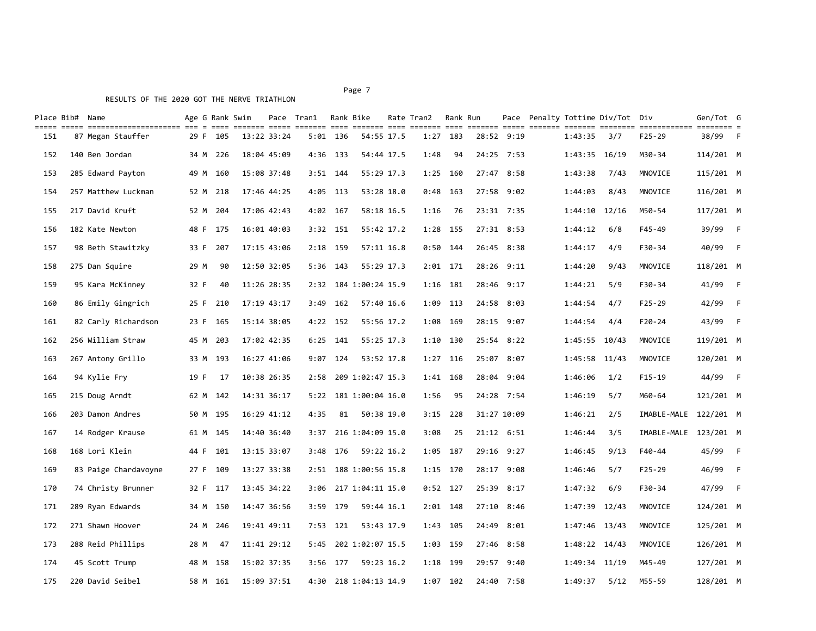#### Page 7 and 2012 and 2012 and 2012 and 2012 and 2012 and 2012 and 2012 and 2012 and 2012 and 2012 and 2012 and

| Place Bib# Name |                      |      | Age G Rank Swim |             | Pace Tran1 |            | Rank Bike             | Rate Tran2 | Rank Run   |            |             |                   | Pace Penalty Tottime Div/Tot | Div                   | Gen/Tot G |      |
|-----------------|----------------------|------|-----------------|-------------|------------|------------|-----------------------|------------|------------|------------|-------------|-------------------|------------------------------|-----------------------|-----------|------|
| 151             | 87 Megan Stauffer    | 29 F | 105             | 13:22 33:24 |            | $5:01$ 136 | 54:55 17.5            |            | $1:27$ 183 |            | 28:52 9:19  | 1:43:35           | 3/7                          | $F25 - 29$            | 38/99     | $-F$ |
| 152             | 140 Ben Jordan       | 34 M | 226             | 18:04 45:09 |            | 4:36 133   | 54:44 17.5            | 1:48       | 94         |            | 24:25 7:53  | $1:43:35$ $16/19$ |                              | M30-34                | 114/201 M |      |
| 153             | 285 Edward Payton    |      | 49 M 160        | 15:08 37:48 |            | $3:51$ 144 | 55:29 17.3            |            | 1:25 160   |            | 27:47 8:58  | 1:43:38           | 7/43                         | MNOVICE               | 115/201 M |      |
| 154             | 257 Matthew Luckman  |      | 52 M 218        | 17:46 44:25 |            | 4:05 113   | 53:28 18.0            | 0:48       | - 163      |            | 27:58 9:02  | 1:44:03           | 8/43                         | MNOVICE               | 116/201 M |      |
| 155             | 217 David Kruft      |      | 52 M 204        | 17:06 42:43 |            | 4:02 167   | 58:18 16.5            | 1:16       | 76         | 23:31 7:35 |             | $1:44:10$ $12/16$ |                              | M50-54                | 117/201 M |      |
| 156             | 182 Kate Newton      |      | 48 F 175        | 16:01 40:03 |            | $3:32$ 151 | 55:42 17.2            | 1:28       | 155        |            | 27:31 8:53  | 1:44:12           | 6/8                          | $F45 - 49$            | 39/99     | - F  |
| 157             | 98 Beth Stawitzky    | 33 F | 207             | 17:15 43:06 |            | 2:18 159   | 57:11 16.8            | 0:50       | 144        |            | 26:45 8:38  | 1:44:17           | 4/9                          | F30-34                | 40/99     | $-F$ |
| 158             | 275 Dan Squire       | 29 M | 90              | 12:50 32:05 | 5:36       | - 143      | 55:29 17.3            |            | $2:01$ 171 |            | 28:26 9:11  | 1:44:20           | 9/43                         | MNOVICE               | 118/201 M |      |
| 159             | 95 Kara McKinney     | 32 F | 40              | 11:26 28:35 |            |            | 2:32 184 1:00:24 15.9 |            | $1:16$ 181 |            | 28:46 9:17  | 1:44:21           | 5/9                          | F30-34                | 41/99     | $-F$ |
| 160             | 86 Emily Gingrich    | 25 F | 210             | 17:19 43:17 | 3:49       | 162        | 57:40 16.6            | 1:09       | 113        | 24:58      | 8:03        | 1:44:54           | 4/7                          | $F25 - 29$            | 42/99     | $-F$ |
| 161             | 82 Carly Richardson  | 23 F | 165             | 15:14 38:05 | 4:22       | 152        | 55:56 17.2            | 1:08       | 169        |            | 28:15 9:07  | 1:44:54           | 4/4                          | $F20 - 24$            | 43/99     | $-F$ |
| 162             | 256 William Straw    | 45 M | 203             | 17:02 42:35 | 6:25       | 141        | 55:25 17.3            | 1:10       | 130        |            | 25:54 8:22  | 1:45:55 10/43     |                              | MNOVICE               | 119/201 M |      |
| 163             | 267 Antony Grillo    | 33 M | 193             | 16:27 41:06 | 9:07       | 124        | 53:52 17.8            | 1:27       | 116        | 25:07      | 8:07        | 1:45:58 11/43     |                              | MNOVICE               | 120/201 M |      |
| 164             | 94 Kylie Fry         | 19 F | 17              | 10:38 26:35 |            |            | 2:58 209 1:02:47 15.3 |            | 1:41 168   |            | 28:04 9:04  | 1:46:06           | 1/2                          | $F15-19$              | 44/99     | – F  |
| 165             | 215 Doug Arndt       |      | 62 M 142        | 14:31 36:17 |            |            | 5:22 181 1:00:04 16.0 | 1:56       | 95         |            | 24:28 7:54  | 1:46:19           | 5/7                          | M60-64                | 121/201 M |      |
| 166             | 203 Damon Andres     |      | 50 M 195        | 16:29 41:12 | 4:35       | 81         | 50:38 19.0            | 3:15       | 228        |            | 31:27 10:09 | 1:46:21           | 2/5                          | IMABLE-MALE 122/201 M |           |      |
| 167             | 14 Rodger Krause     |      | 61 M 145        | 14:40 36:40 | 3:37       |            | 216 1:04:09 15.0      | 3:08       | 25         |            | 21:12 6:51  | 1:46:44           | 3/5                          | IMABLE-MALE           | 123/201 M |      |
| 168             | 168 Lori Klein       | 44 F | 101             | 13:15 33:07 | 3:48       | 176        | 59:22 16.2            | 1:05       | - 187      |            | 29:16 9:27  | 1:46:45           | 9/13                         | $F40 - 44$            | 45/99     | $-F$ |
| 169             | 83 Paige Chardavoyne | 27 F | 109             | 13:27 33:38 | 2:51       |            | 188 1:00:56 15.8      |            | 1:15 170   |            | 28:17 9:08  | 1:46:46           | 5/7                          | $F25 - 29$            | 46/99     | $-F$ |
| 170             | 74 Christy Brunner   | 32 F | 117             | 13:45 34:22 | 3:06       |            | 217 1:04:11 15.0      |            | $0:52$ 127 | 25:39      | 8:17        | 1:47:32           | 6/9                          | F30-34                | 47/99     | $-F$ |
| 171             | 289 Ryan Edwards     | 34 M | 150             | 14:47 36:56 | 3:59       | 179        | 59:44 16.1            | 2:01       | 148        | 27:10      | 8:46        | 1:47:39           | 12/43                        | MNOVICE               | 124/201 M |      |
| 172             | 271 Shawn Hoover     | 24 M | 246             | 19:41 49:11 | 7:53       | -121       | 53:43 17.9            | 1:43       | - 105      | 24:49      | 8:01        | $1:47:46$ 13/43   |                              | MNOVICE               | 125/201 M |      |
| 173             | 288 Reid Phillips    | 28 M | 47              | 11:41 29:12 | 5:45       |            | 202 1:02:07 15.5      | 1:03       | 159        | 27:46      | 8:58        | 1:48:22 14/43     |                              | MNOVICE               | 126/201 M |      |
| 174             | 45 Scott Trump       |      | 48 M 158        | 15:02 37:35 |            | 3:56 177   | 59:23 16.2            |            | 1:18 199   |            | 29:57 9:40  | 1:49:34 11/19     |                              | M45-49                | 127/201 M |      |
| 175             | 220 David Seibel     |      | 58 M 161        | 15:09 37:51 |            |            | 4:30 218 1:04:13 14.9 |            | 1:07 102   |            | 24:40 7:58  | 1:49:37           | 5/12                         | M55-59                | 128/201 M |      |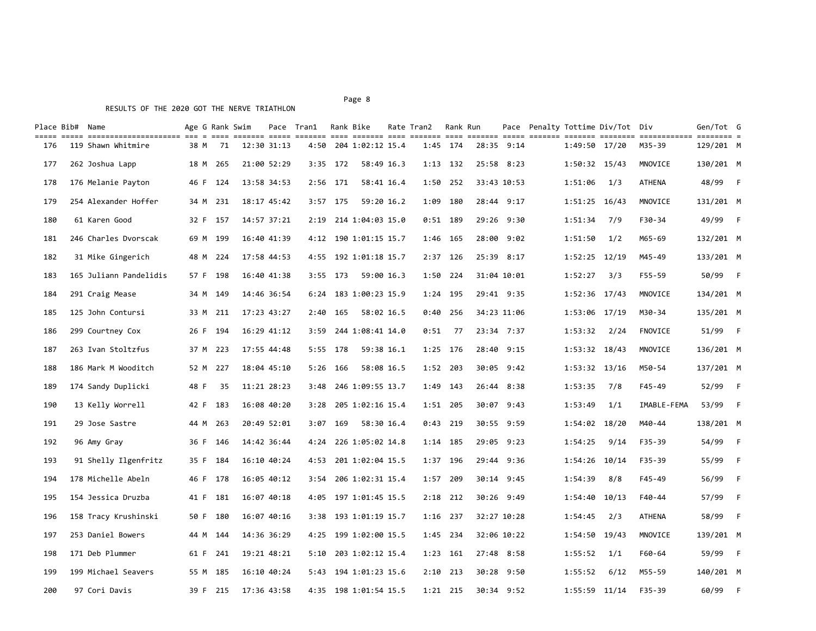#### Page 8 and the state of the state of the state of the state of the state of the state of the state of the state of the state of the state of the state of the state of the state of the state of the state of the state of the

|     | Place Bib# Name        |      |          | Age G Rank Swim |             | Pace Tran1 |            | Rank Bike             | Rate Tran2 Rank Run |            |       |             |                   | Pace Penalty Tottime Div/Tot Div |             | Gen/Tot G |                |
|-----|------------------------|------|----------|-----------------|-------------|------------|------------|-----------------------|---------------------|------------|-------|-------------|-------------------|----------------------------------|-------------|-----------|----------------|
| 176 | 119 Shawn Whitmire     | 38 M | 71       |                 | 12:30 31:13 |            |            | 4:50 204 1:02:12 15.4 |                     | 1:45 174   |       | 28:35 9:14  | 1:49:50 17/20     |                                  | M35-39      | 129/201 M |                |
| 177 | 262 Joshua Lapp        |      | 18 M 265 |                 | 21:00 52:29 | 3:35       | 172        | 58:49 16.3            |                     | $1:13$ 132 |       | 25:58 8:23  | 1:50:32 15/43     |                                  | MNOVICE     | 130/201 M |                |
| 178 | 176 Melanie Payton     |      | 46 F 124 |                 | 13:58 34:53 | 2:56       | 171        | 58:41 16.4            | 1:50                | 252        |       | 33:43 10:53 | 1:51:06           | 1/3                              | ATHENA      | 48/99 F   |                |
| 179 | 254 Alexander Hoffer   |      | 34 M 231 |                 | 18:17 45:42 | 3:57       | - 175      | 59:20 16.2            | 1:09                | 180        |       | 28:44 9:17  | $1:51:25$ 16/43   |                                  | MNOVICE     | 131/201 M |                |
| 180 | 61 Karen Good          |      | 32 F 157 |                 | 14:57 37:21 |            |            | 2:19 214 1:04:03 15.0 |                     | $0:51$ 189 |       | 29:26 9:30  | 1:51:34           | 7/9                              | F30-34      | 49/99 F   |                |
| 181 | 246 Charles Dvorscak   |      | 69 M 199 |                 | 16:40 41:39 |            |            | 4:12 190 1:01:15 15.7 |                     | 1:46 165   | 28:00 | 9:02        | 1:51:50           | 1/2                              | M65-69      | 132/201 M |                |
| 182 | 31 Mike Gingerich      |      | 48 M 224 |                 | 17:58 44:53 |            |            | 4:55 192 1:01:18 15.7 |                     | $2:37$ 126 |       | 25:39 8:17  | $1:52:25$ $12/19$ |                                  | M45-49      | 133/201 M |                |
| 183 | 165 Juliann Pandelidis |      | 57 F 198 |                 | 16:40 41:38 |            | $3:55$ 173 | 59:00 16.3            | 1:50                | 224        |       | 31:04 10:01 | 1:52:27           | 3/3                              | F55-59      | 50/99     | – F            |
| 184 | 291 Craig Mease        |      | 34 M 149 |                 | 14:46 36:54 | 6:24       |            | 183 1:00:23 15.9      |                     | 1:24 195   |       | 29:41 9:35  | 1:52:36 17/43     |                                  | MNOVICE     | 134/201 M |                |
| 185 | 125 John Contursi      | 33 M | 211      |                 | 17:23 43:27 | 2:40       | 165        | 58:02 16.5            | 0:40                | 256        |       | 34:23 11:06 | 1:53:06 17/19     |                                  | M30-34      | 135/201 M |                |
| 186 | 299 Courtney Cox       | 26 F | 194      |                 | 16:29 41:12 | 3:59       |            | 244 1:08:41 14.0      | 0:51                | 77         |       | 23:34 7:37  | 1:53:32           | 2/24                             | FNOVICE     | 51/99 F   |                |
| 187 | 263 Ivan Stoltzfus     | 37 M | -223     |                 | 17:55 44:48 |            | 5:55 178   | 59:38 16.1            |                     | 1:25 176   |       | 28:40 9:15  | 1:53:32 18/43     |                                  | MNOVICE     | 136/201 M |                |
| 188 | 186 Mark M Wooditch    | 52 M | 227      |                 | 18:04 45:10 | 5:26       | - 166      | 58:08 16.5            |                     | 1:52 203   |       | 30:05 9:42  | $1:53:32$ $13/16$ |                                  | M50-54      | 137/201 M |                |
| 189 | 174 Sandy Duplicki     | 48 F | 35       |                 | 11:21 28:23 | 3:48       |            | 246 1:09:55 13.7      | 1:49                | 143        |       | 26:44 8:38  | 1:53:35           | 7/8                              | F45-49      | 52/99     | – F            |
| 190 | 13 Kelly Worrell       | 42 F | 183      |                 | 16:08 40:20 | 3:28       |            | 205 1:02:16 15.4      | 1:51                | -205       |       | 30:07 9:43  | 1:53:49           | 1/1                              | IMABLE-FEMA | 53/99     | – F            |
| 191 | 29 Jose Sastre         | 44 M | 263      |                 | 20:49 52:01 | 3:07       | 169        | 58:30 16.4            |                     | $0:43$ 219 |       | 30:55 9:59  | 1:54:02 18/20     |                                  | M40-44      | 138/201 M |                |
| 192 | 96 Amy Gray            |      | 36 F 146 |                 | 14:42 36:44 | 4:24       |            | 226 1:05:02 14.8      |                     | 1:14 185   |       | 29:05 9:23  | 1:54:25           | 9/14                             | F35-39      | 54/99     | $-F$           |
| 193 | 91 Shelly Ilgenfritz   |      | 35 F 184 |                 | 16:10 40:24 |            |            | 4:53 201 1:02:04 15.5 |                     | 1:37 196   |       | 29:44 9:36  | 1:54:26 10/14     |                                  | F35-39      | 55/99     | - F            |
| 194 | 178 Michelle Abeln     |      | 46 F 178 |                 | 16:05 40:12 | 3:54       |            | 206 1:02:31 15.4      | 1:57 209            |            |       | 30:14 9:45  | 1:54:39           | 8/8                              | F45-49      | 56/99     | $-F$           |
| 195 | 154 Jessica Druzba     |      | 41 F 181 |                 | 16:07 40:18 |            |            | 4:05 197 1:01:45 15.5 |                     | $2:18$ 212 |       | 30:26 9:49  | $1:54:40$ 10/13   |                                  | F40-44      | 57/99     | – F            |
| 196 | 158 Tracy Krushinski   |      | 50 F 180 |                 | 16:07 40:16 |            |            | 3:38 193 1:01:19 15.7 | 1:16 237            |            |       | 32:27 10:28 | 1:54:45           | 2/3                              | ATHENA      | 58/99     | - F            |
| 197 | 253 Daniel Bowers      |      | 44 M 144 |                 | 14:36 36:29 | 4:25       |            | 199 1:02:00 15.5      |                     | 1:45 234   |       | 32:06 10:22 | 1:54:50 19/43     |                                  | MNOVICE     | 139/201 M |                |
| 198 | 171 Deb Plummer        | 61 F | 241      |                 | 19:21 48:21 | 5:10       |            | 203 1:02:12 15.4      |                     | $1:23$ 161 |       | 27:48 8:58  | 1:55:52           | 1/1                              | F60-64      | 59/99     | - F            |
| 199 | 199 Michael Seavers    |      | 55 M 185 |                 | 16:10 40:24 |            |            | 5:43 194 1:01:23 15.6 |                     | $2:10$ 213 |       | 30:28 9:50  | 1:55:52           | 6/12                             | M55-59      | 140/201 M |                |
| 200 | 97 Cori Davis          | 39 F | 215      |                 | 17:36 43:58 |            |            | 4:35 198 1:01:54 15.5 |                     | $1:21$ 215 |       | 30:34 9:52  | $1:55:59$ $11/14$ |                                  | F35-39      | 60/99     | $\overline{F}$ |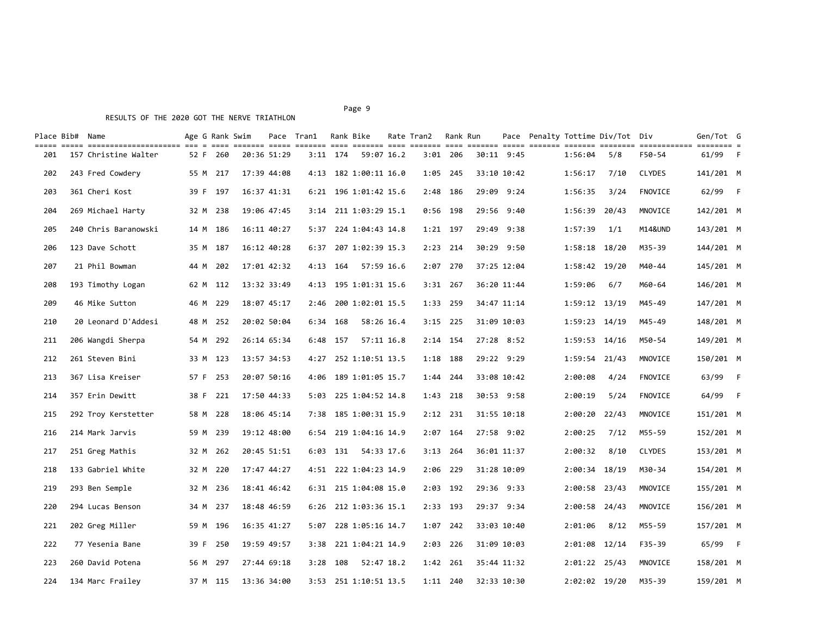# RESULTS OF THE 2020 GOT THE NERVE TRIATHLON

| Place Bib# Name |                                                                                                                                                       |      | Age G Rank Swim |             | Pace Tran1 | Rank Bike  |                       | Rate Tran2 | Rank Run   |            |             |                   | Pace Penalty Tottime Div/Tot Div |               | Gen/Tot G |                |
|-----------------|-------------------------------------------------------------------------------------------------------------------------------------------------------|------|-----------------|-------------|------------|------------|-----------------------|------------|------------|------------|-------------|-------------------|----------------------------------|---------------|-----------|----------------|
| 201             | cont acto controlactionent die 6 000 cities diele colore and cities and cities and cities cities colore continuere continue a<br>157 Christine Walter |      | 52 F 260        | 20:36 51:29 |            | $3:11$ 174 | 59:07 16.2            |            | $3:01$ 206 |            | 30:11 9:45  | 1:56:04           | 5/8                              | F50-54        | 61/99     | $-F$           |
| 202             | 243 Fred Cowdery                                                                                                                                      | 55 M | 217             | 17:39 44:08 | 4:13       |            | 182 1:00:11 16.0      | 1:05       | 245        |            | 33:10 10:42 | 1:56:17           | 7/10                             | <b>CLYDES</b> | 141/201 M |                |
| 203             | 361 Cheri Kost                                                                                                                                        | 39 F | 197             | 16:37 41:31 | 6:21       |            | 196 1:01:42 15.6      | 2:48       | 186        |            | 29:09 9:24  | 1:56:35           | 3/24                             | FNOVICE       | 62/99 F   |                |
| 204             | 269 Michael Harty                                                                                                                                     | 32 M | 238             | 19:06 47:45 | 3:14       |            | 211 1:03:29 15.1      | 0:56       | 198        |            | 29:56 9:40  | 1:56:39           | 20/43                            | MNOVICE       | 142/201 M |                |
| 205             | 240 Chris Baranowski                                                                                                                                  | 14 M | 186             | 16:11 40:27 | 5:37       |            | 224 1:04:43 14.8      | $1:21$ 197 |            | 29:49      | 9:38        | 1:57:39           | 1/1                              | M14&UND       | 143/201 M |                |
| 206             | 123 Dave Schott                                                                                                                                       | 35 M | 187             | 16:12 40:28 | 6:37       |            | 207 1:02:39 15.3      | 2:23       | - 214      |            | 30:29 9:50  | 1:58:18 18/20     |                                  | M35-39        | 144/201 M |                |
| 207             | 21 Phil Bowman                                                                                                                                        | 44 M | 202             | 17:01 42:32 | 4:13       | - 164      | 57:59 16.6            | 2:07       | 270        |            | 37:25 12:04 | 1:58:42 19/20     |                                  | M40-44        | 145/201 M |                |
| 208             | 193 Timothy Logan                                                                                                                                     |      | 62 M 112        | 13:32 33:49 | 4:13       |            | 195 1:01:31 15.6      | $3:31$ 267 |            |            | 36:20 11:44 | 1:59:06           | 6/7                              | M60-64        | 146/201 M |                |
| 209             | 46 Mike Sutton                                                                                                                                        | 46 M | 229             | 18:07 45:17 | 2:46       |            | 200 1:02:01 15.5      | 1:33       | 259        |            | 34:47 11:14 | $1:59:12$ $13/19$ |                                  | M45-49        | 147/201 M |                |
| 210             | 20 Leonard D'Addesi                                                                                                                                   | 48 M | 252             | 20:02 50:04 |            | $6:34$ 168 | 58:26 16.4            | $3:15$ 225 |            |            | 31:09 10:03 | $1:59:23$ $14/19$ |                                  | M45-49        | 148/201 M |                |
| 211             | 206 Wangdi Sherpa                                                                                                                                     | 54 M | 292             | 26:14 65:34 | 6:48       | 157        | 57:11 16.8            | 2:14       | 154        |            | 27:28 8:52  | $1:59:53$ $14/16$ |                                  | M50-54        | 149/201 M |                |
| 212             | 261 Steven Bini                                                                                                                                       |      | 33 M 123        | 13:57 34:53 | 4:27       |            | 252 1:10:51 13.5      |            | 1:18 188   |            | 29:22 9:29  | 1:59:54 21/43     |                                  | MNOVICE       | 150/201 M |                |
| 213             | 367 Lisa Kreiser                                                                                                                                      | 57 F | 253             | 20:07 50:16 | 4:06       |            | 189 1:01:05 15.7      | 1:44       | 244        |            | 33:08 10:42 | 2:00:08           | 4/24                             | FNOVICE       | 63/99     | $-F$           |
| 214             | 357 Erin Dewitt                                                                                                                                       | 38 F | 221             | 17:50 44:33 | 5:03       |            | 225 1:04:52 14.8      | $1:43$ 218 |            |            | 30:53 9:58  | 2:00:19           | 5/24                             | FNOVICE       | 64/99     | $\overline{F}$ |
| 215             | 292 Troy Kerstetter                                                                                                                                   |      | 58 M 228        | 18:06 45:14 | 7:38       |            | 185 1:00:31 15.9      | $2:12$ 231 |            |            | 31:55 10:18 | 2:00:20           | 22/43                            | MNOVICE       | 151/201 M |                |
| 216             | 214 Mark Jarvis                                                                                                                                       |      | 59 M 239        | 19:12 48:00 |            |            | 6:54 219 1:04:16 14.9 | 2:07       | 164        |            | 27:58 9:02  | 2:00:25           | 7/12                             | M55-59        | 152/201 M |                |
| 217             | 251 Greg Mathis                                                                                                                                       | 32 M | 262             | 20:45 51:51 | 6:03       | 131        | 54:33 17.6            | 3:13       | 264        |            | 36:01 11:37 | 2:00:32           | 8/10                             | <b>CLYDES</b> | 153/201 M |                |
| 218             | 133 Gabriel White                                                                                                                                     | 32 M | 220             | 17:47 44:27 |            |            | 4:51 222 1:04:23 14.9 | 2:06 229   |            |            | 31:28 10:09 | 2:00:34 18/19     |                                  | M30-34        | 154/201 M |                |
| 219             | 293 Ben Semple                                                                                                                                        |      | 32 M 236        | 18:41 46:42 |            |            | 6:31 215 1:04:08 15.0 |            | 2:03 192   | 29:36 9:33 |             | 2:00:58 23/43     |                                  | MNOVICE       | 155/201 M |                |
| 220             | 294 Lucas Benson                                                                                                                                      |      | 34 M 237        | 18:48 46:59 | 6:26       |            | 212 1:03:36 15.1      | 2:33 193   |            |            | 29:37 9:34  | 2:00:58 24/43     |                                  | MNOVICE       | 156/201 M |                |
| 221             | 202 Greg Miller                                                                                                                                       |      | 59 M 196        | 16:35 41:27 | 5:07       |            | 228 1:05:16 14.7      | 1:07       | 242        |            | 33:03 10:40 | 2:01:06           | 8/12                             | M55-59        | 157/201 M |                |
| 222             | 77 Yesenia Bane                                                                                                                                       | 39 F | 250             | 19:59 49:57 | 3:38       |            | 221 1:04:21 14.9      | 2:03       | 226        |            | 31:09 10:03 | 2:01:08 12/14     |                                  | F35-39        | 65/99     | $-F$           |
| 223             | 260 David Potena                                                                                                                                      | 56 M | 297             | 27:44 69:18 | 3:28       | 108        | 52:47 18.2            | 1:42 261   |            |            | 35:44 11:32 | 2:01:22 25/43     |                                  | MNOVICE       | 158/201 M |                |
| 224             | 134 Marc Frailey                                                                                                                                      |      | 37 M 115        | 13:36 34:00 |            |            | 3:53 251 1:10:51 13.5 |            | 1:11 240   |            | 32:33 10:30 | 2:02:02 19/20     |                                  | M35-39        | 159/201 M |                |

Page 9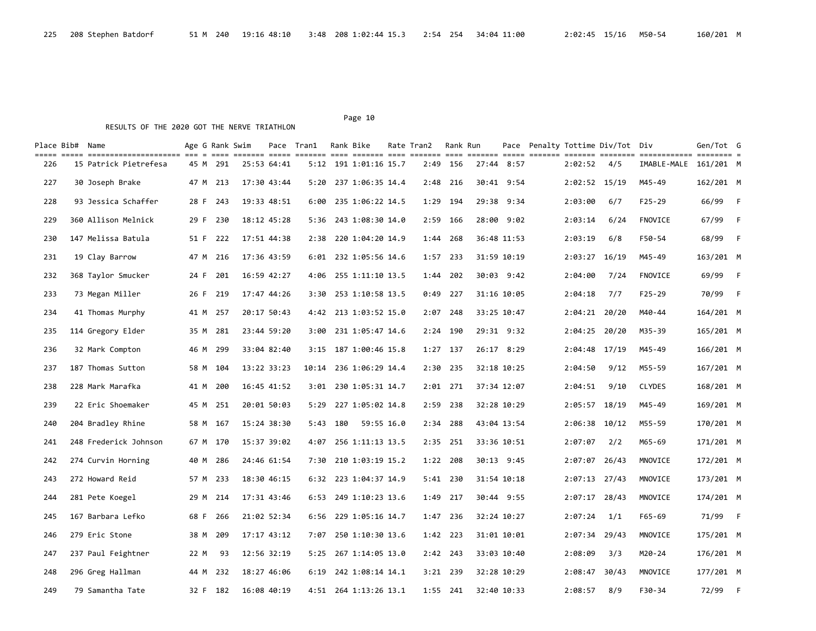| Place Bib# Name |                       |      |          | Age G Rank Swim |             | Pace Tran1 |     | Rank Bike              | Rate Tran2 | Rank Run   |       |             |               | Pace Penalty Tottime Div/Tot Div |                       | Gen/Tot G |                |
|-----------------|-----------------------|------|----------|-----------------|-------------|------------|-----|------------------------|------------|------------|-------|-------------|---------------|----------------------------------|-----------------------|-----------|----------------|
| 226             | 15 Patrick Pietrefesa | 45 M | 291      |                 | 25:53 64:41 |            |     | 5:12 191 1:01:16 15.7  |            | 2:49 156   |       | 27:44 8:57  | 2:02:52       | 4/5                              | IMABLE-MALE 161/201 M |           |                |
| 227             | 30 Joseph Brake       | 47 M | 213      |                 | 17:30 43:44 | 5:20       |     | 237 1:06:35 14.4       | 2:48       | 216        |       | 30:41 9:54  | 2:02:52 15/19 |                                  | M45-49                | 162/201 M |                |
| 228             | 93 Jessica Schaffer   | 28 F | 243      |                 | 19:33 48:51 | 6:00       |     | 235 1:06:22 14.5       | 1:29       | 194        | 29:38 | 9:34        | 2:03:00       | 6/7                              | $F25 - 29$            | 66/99     | $\overline{F}$ |
| 229             | 360 Allison Melnick   | 29 F | 230      |                 | 18:12 45:28 | 5:36       |     | 243 1:08:30 14.0       | 2:59       | - 166      |       | 28:00 9:02  | 2:03:14       | 6/24                             | <b>FNOVICE</b>        | 67/99     | $-F$           |
| 230             | 147 Melissa Batula    | 51 F | 222      |                 | 17:51 44:38 | 2:38       |     | 220 1:04:20 14.9       | 1:44       | 268        |       | 36:48 11:53 | 2:03:19       | 6/8                              | F50-54                | 68/99     | $-F$           |
| 231             | 19 Clay Barrow        | 47 M | 216      |                 | 17:36 43:59 |            |     | 6:01 232 1:05:56 14.6  |            | $1:57$ 233 |       | 31:59 10:19 | 2:03:27 16/19 |                                  | M45-49                | 163/201 M |                |
| 232             | 368 Taylor Smucker    | 24 F | 201      |                 | 16:59 42:27 | 4:06       |     | 255 1:11:10 13.5       | 1:44       | 202        |       | 30:03 9:42  | 2:04:00       | 7/24                             | FNOVICE               | 69/99     | – F            |
| 233             | 73 Megan Miller       |      | 26 F 219 |                 | 17:47 44:26 | 3:30       |     | 253 1:10:58 13.5       | 0:49       | -227       |       | 31:16 10:05 | 2:04:18       | 7/7                              | $F25 - 29$            | 70/99     | $-F$           |
| 234             | 41 Thomas Murphy      |      | 41 M 257 |                 | 20:17 50:43 |            |     | 4:42 213 1:03:52 15.0  | 2:07       | 248        |       | 33:25 10:47 | 2:04:21       | 20/20                            | M40-44                | 164/201 M |                |
| 235             | 114 Gregory Elder     | 35 M | 281      |                 | 23:44 59:20 |            |     | 3:00 231 1:05:47 14.6  |            | $2:24$ 190 |       | 29:31 9:32  |               | 2:04:25 20/20                    | M35-39                | 165/201 M |                |
| 236             | 32 Mark Compton       | 46 M | 299      |                 | 33:04 82:40 | 3:15       |     | 187 1:00:46 15.8       |            | $1:27$ 137 |       | 26:17 8:29  | 2:04:48 17/19 |                                  | M45-49                | 166/201 M |                |
| 237             | 187 Thomas Sutton     |      | 58 M 104 |                 | 13:22 33:23 |            |     | 10:14 236 1:06:29 14.4 |            | 2:30 235   |       | 32:18 10:25 | 2:04:50       | 9/12                             | M55-59                | 167/201 M |                |
| 238             | 228 Mark Marafka      | 41 M | 200      |                 | 16:45 41:52 |            |     | 3:01 230 1:05:31 14.7  |            | $2:01$ 271 |       | 37:34 12:07 | 2:04:51       | 9/10                             | <b>CLYDES</b>         | 168/201 M |                |
| 239             | 22 Eric Shoemaker     | 45 M | 251      |                 | 20:01 50:03 | 5:29       |     | 227 1:05:02 14.8       |            | 2:59 238   |       | 32:28 10:29 |               | 2:05:57 18/19                    | M45-49                | 169/201 M |                |
| 240             | 204 Bradley Rhine     |      | 58 M 167 |                 | 15:24 38:30 | 5:43       | 180 | 59:55 16.0             | 2:34       | 288        |       | 43:04 13:54 | 2:06:38 10/12 |                                  | M55-59                | 170/201 M |                |
| 241             | 248 Frederick Johnson |      | 67 M 170 |                 | 15:37 39:02 | 4:07       |     | 256 1:11:13 13.5       | 2:35       | - 251      |       | 33:36 10:51 | 2:07:07       | 2/2                              | M65-69                | 171/201 M |                |
| 242             | 274 Curvin Horning    | 40 M | 286      |                 | 24:46 61:54 | 7:30       |     | 210 1:03:19 15.2       | 1:22       | 208        |       | 30:13 9:45  | 2:07:07       | 26/43                            | MNOVICE               | 172/201 M |                |
| 243             | 272 Howard Reid       | 57 M | 233      |                 | 18:30 46:15 | 6:32       |     | 223 1:04:37 14.9       | 5:41       | 230        |       | 31:54 10:18 | 2:07:13 27/43 |                                  | MNOVICE               | 173/201 M |                |
| 244             | 281 Pete Koegel       | 29 M | 214      |                 | 17:31 43:46 | 6:53       |     | 249 1:10:23 13.6       | 1:49       | 217        |       | 30:44 9:55  | 2:07:17 28/43 |                                  | MNOVICE               | 174/201 M |                |
| 245             | 167 Barbara Lefko     | 68 F | 266      |                 | 21:02 52:34 | 6:56       |     | 229 1:05:16 14.7       | 1:47       | 236        |       | 32:24 10:27 | 2:07:24       | 1/1                              | F65-69                | 71/99 F   |                |
| 246             | 279 Eric Stone        | 38 M | 209      |                 | 17:17 43:12 | 7:07       |     | 250 1:10:30 13.6       |            | 1:42 223   |       | 31:01 10:01 | 2:07:34       | 29/43                            | MNOVICE               | 175/201 M |                |
| 247             | 237 Paul Feightner    | 22 M | 93       |                 | 12:56 32:19 | 5:25       |     | 267 1:14:05 13.0       | 2:42       | 243        |       | 33:03 10:40 | 2:08:09       | 3/3                              | M20-24                | 176/201 M |                |
| 248             | 296 Greg Hallman      | 44 M | 232      |                 | 18:27 46:06 | 6:19       |     | 242 1:08:14 14.1       |            | $3:21$ 239 |       | 32:28 10:29 | 2:08:47       | 30/43                            | MNOVICE               | 177/201 M |                |
| 249             | 79 Samantha Tate      |      | 32 F 182 |                 | 16:08 40:19 |            |     | 4:51 264 1:13:26 13.1  |            | 1:55 241   |       | 32:40 10:33 | 2:08:57       | 8/9                              | F30-34                | 72/99     | $-F$           |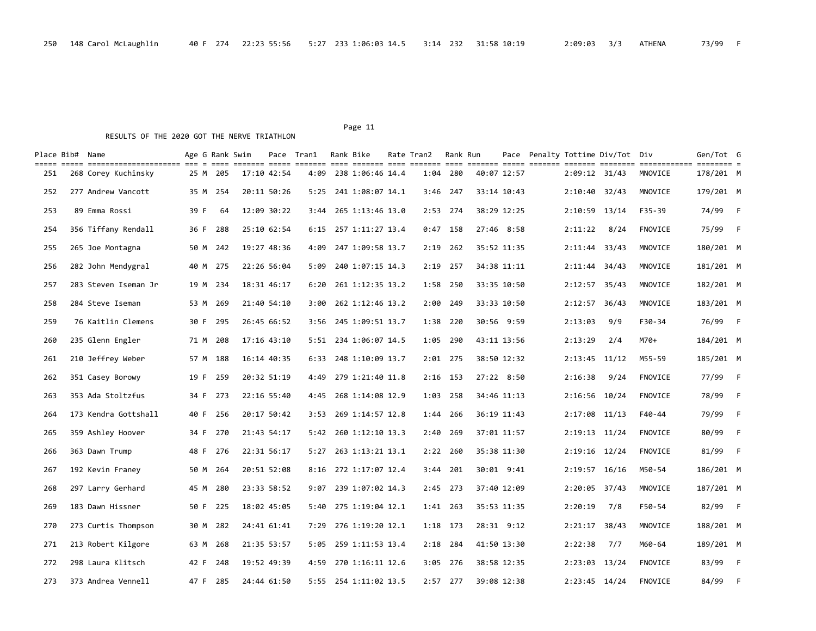| Place Bib# Name |                                                                                                                                        | Age G Rank Swim |          |             | Pace Tran1 | Rank Bike             | Rate Tran2 Rank Run |            |             |                   | Pace Penalty Tottime Div/Tot Div |         | Gen/Tot G |                |
|-----------------|----------------------------------------------------------------------------------------------------------------------------------------|-----------------|----------|-------------|------------|-----------------------|---------------------|------------|-------------|-------------------|----------------------------------|---------|-----------|----------------|
| 251             | cont acto continuationisme di e com initia acto initia and initia and initia and initia initia initia initianam<br>268 Corey Kuchinsky | 25 M            | 205      | 17:10 42:54 | 4:09       | 238 1:06:46 14.4      | 1:04 280            |            | 40:07 12:57 | 2:09:12 31/43     |                                  | MNOVICE | 178/201 M |                |
| 252             | 277 Andrew Vancott                                                                                                                     |                 | 35 M 254 | 20:11 50:26 | 5:25       | 241 1:08:07 14.1      | 3:46 247            |            | 33:14 10:43 | 2:10:40 32/43     |                                  | MNOVICE | 179/201 M |                |
| 253             | 89 Emma Rossi                                                                                                                          | 39 F            | 64       | 12:09 30:22 | 3:44       | 265 1:13:46 13.0      | 2:53 274            |            | 38:29 12:25 | 2:10:59 13/14     |                                  | F35-39  | 74/99     | – F            |
| 254             | 356 Tiffany Rendall                                                                                                                    | 36 F            | 288      | 25:10 62:54 | 6:15       | 257 1:11:27 13.4      | $0:47$ 158          |            | 27:46 8:58  | 2:11:22           | 8/24                             | FNOVICE | 75/99     | $-F$           |
| 255             | 265 Joe Montagna                                                                                                                       | 50 M            | 242      | 19:27 48:36 | 4:09       | 247 1:09:58 13.7      | 2:19                | -262       | 35:52 11:35 | 2:11:44           | 33/43                            | MNOVICE | 180/201 M |                |
| 256             | 282 John Mendygral                                                                                                                     | 40 M            | 275      | 22:26 56:04 | 5:09       | 240 1:07:15 14.3      | 2:19                | 257        | 34:38 11:11 | 2:11:44           | 34/43                            | MNOVICE | 181/201 M |                |
| 257             | 283 Steven Iseman Jr                                                                                                                   | 19 M            | 234      | 18:31 46:17 | 6:20       | 261 1:12:35 13.2      | 1:58 250            |            | 33:35 10:50 | $2:12:57$ 35/43   |                                  | MNOVICE | 182/201 M |                |
| 258             | 284 Steve Iseman                                                                                                                       | 53 M            | 269      | 21:40 54:10 | 3:00       | 262 1:12:46 13.2      | 2:00                | 249        | 33:33 10:50 | 2:12:57           | 36/43                            | MNOVICE | 183/201 M |                |
| 259             | 76 Kaitlin Clemens                                                                                                                     | 30 F            | 295      | 26:45 66:52 | 3:56       | 245 1:09:51 13.7      | 1:38                | 220        | 30:56 9:59  | 2:13:03           | 9/9                              | F30-34  | 76/99 F   |                |
| 260             | 235 Glenn Engler                                                                                                                       | 71 M            | 208      | 17:16 43:10 | 5:51       | 234 1:06:07 14.5      | 1:05                | 290        | 43:11 13:56 | 2:13:29           | 2/4                              | M70+    | 184/201 M |                |
| 261             | 210 Jeffrey Weber                                                                                                                      | 57 M            | 188      | 16:14 40:35 | 6:33       | 248 1:10:09 13.7      | $2:01$ 275          |            | 38:50 12:32 | $2:13:45$ $11/12$ |                                  | M55-59  | 185/201 M |                |
| 262             | 351 Casey Borowy                                                                                                                       | 19 F            | 259      | 20:32 51:19 | 4:49       | 279 1:21:40 11.8      | $2:16$ 153          |            | 27:22 8:50  | 2:16:38           | 9/24                             | FNOVICE | 77/99     | – F            |
| 263             | 353 Ada Stoltzfus                                                                                                                      | 34 F            | 273      | 22:16 55:40 | 4:45       | 268 1:14:08 12.9      | 1:03                | 258        | 34:46 11:13 | 2:16:56 10/24     |                                  | FNOVICE | 78/99     | - F            |
| 264             | 173 Kendra Gottshall                                                                                                                   | 40 F            | 256      | 20:17 50:42 |            | 3:53 269 1:14:57 12.8 | 1:44 266            |            | 36:19 11:43 | 2:17:08 11/13     |                                  | F40-44  | 79/99     | $-F$           |
| 265             | 359 Ashley Hoover                                                                                                                      | 34 F            | 270      | 21:43 54:17 | 5:42       | 260 1:12:10 13.3      | 2:40                | 269        | 37:01 11:57 | 2:19:13 11/24     |                                  | FNOVICE | 80/99     | - F            |
| 266             | 363 Dawn Trump                                                                                                                         | 48 F            | 276      | 22:31 56:17 | 5:27       | 263 1:13:21 13.1      | 2:22                | -260       | 35:38 11:30 | 2:19:16 12/24     |                                  | FNOVICE | 81/99     | - F            |
| 267             | 192 Kevin Franey                                                                                                                       | 50 M            | 264      | 20:51 52:08 | 8:16       | 272 1:17:07 12.4      | 3:44                | 201        | 30:01 9:41  | 2:19:57 16/16     |                                  | M50-54  | 186/201 M |                |
| 268             | 297 Larry Gerhard                                                                                                                      | 45 M            | 280      | 23:33 58:52 | 9:07       | 239 1:07:02 14.3      | 2:45                | 273        | 37:40 12:09 | 2:20:05           | 37/43                            | MNOVICE | 187/201 M |                |
| 269             | 183 Dawn Hissner                                                                                                                       | 50 F            | 225      | 18:02 45:05 | 5:40       | 275 1:19:04 12.1      | 1:41 263            |            | 35:53 11:35 | 2:20:19           | 7/8                              | F50-54  | 82/99     | $-F$           |
| 270             | 273 Curtis Thompson                                                                                                                    | 30 M            | 282      | 24:41 61:41 | 7:29       | 276 1:19:20 12.1      | 1:18 173            |            | 28:31 9:12  | 2:21:17           | 38/43                            | MNOVICE | 188/201 M |                |
| 271             | 213 Robert Kilgore                                                                                                                     | 63 M            | 268      | 21:35 53:57 | 5:05       | 259 1:11:53 13.4      | $2:18$ 284          |            | 41:50 13:30 | 2:22:38           | 7/7                              | M60-64  | 189/201 M |                |
| 272             | 298 Laura Klitsch                                                                                                                      | 42 F            | 248      | 19:52 49:39 | 4:59       | 270 1:16:11 12.6      | 3:05                | 276        | 38:58 12:35 | 2:23:03 13/24     |                                  | FNOVICE | 83/99     | – F            |
| 273             | 373 Andrea Vennell                                                                                                                     | 47 F            | 285      | 24:44 61:50 |            | 5:55 254 1:11:02 13.5 |                     | $2:57$ 277 | 39:08 12:38 | $2:23:45$ $14/24$ |                                  | FNOVICE | 84/99     | $\overline{F}$ |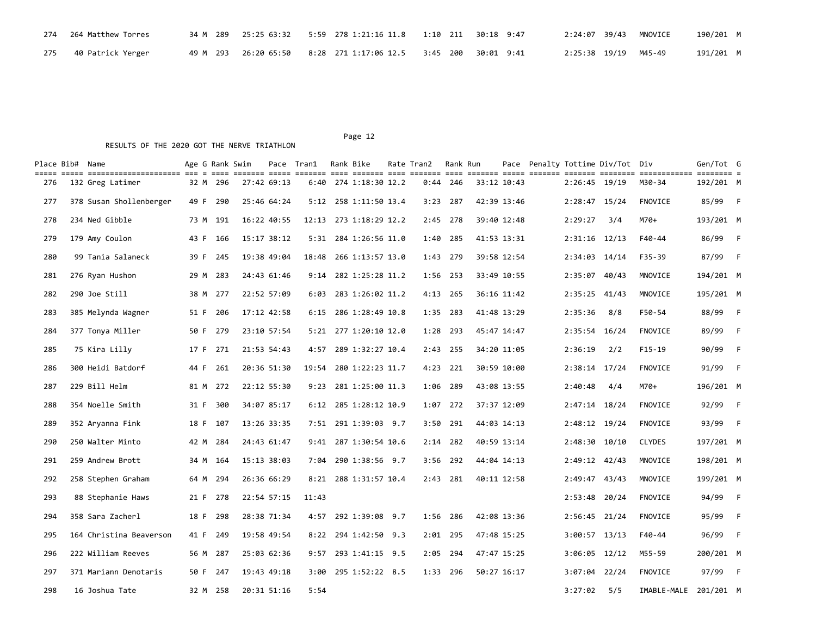| 274 264 Matthew Torres  |  | 34 M 289 25:25 63:32 5:59 278 1:21:16 11.8 1:10 211 30:18 9:47 |  |  | 2:24:07 39/43 MNOVICE | 190/201 M |  |
|-------------------------|--|----------------------------------------------------------------|--|--|-----------------------|-----------|--|
| 275 - 40 Patrick Yerger |  | 49 M 293 26:20 65:50 8:28 271 1:17:06 12.5 3:45 200 30:01 9:41 |  |  | 2:25:38 19/19 M45-49  | 191/201 M |  |

| Place Bib# Name |                         | Age G Rank Swim |          |             | Pace Tran1 | Rank Bike              | Rate Tran2 Rank Run |            |             |             |                 | Pace Penalty Tottime Div/Tot Div |                                                                                                                          | Gen/Tot G |                |
|-----------------|-------------------------|-----------------|----------|-------------|------------|------------------------|---------------------|------------|-------------|-------------|-----------------|----------------------------------|--------------------------------------------------------------------------------------------------------------------------|-----------|----------------|
| 276             | 132 Greg Latimer        |                 | 32 M 296 | 27:42 69:13 |            | 6:40 274 1:18:30 12.2  |                     | $0:44$ 246 |             | 33:12 10:43 | 2:26:45 19/19   |                                  | stitics coold contite cool contite cool contite cool contite coold contite cooldie cooldies contitioned contit<br>M30-34 | 192/201 M |                |
| 277             | 378 Susan Shollenberger |                 | 49 F 290 | 25:46 64:24 |            | 5:12 258 1:11:50 13.4  | $3:23$ 287          |            |             | 42:39 13:46 | $2:28:47$ 15/24 |                                  | <b>FNOVICE</b>                                                                                                           | 85/99 F   |                |
| 278             | 234 Ned Gibble          |                 | 73 M 191 | 16:22 40:55 |            | 12:13 273 1:18:29 12.2 | 2:45                | 278        |             | 39:40 12:48 | 2:29:27         | 3/4                              | M70+                                                                                                                     | 193/201 M |                |
| 279             | 179 Amy Coulon          | 43 F            | 166      | 15:17 38:12 |            | 5:31 284 1:26:56 11.0  | 1:40                | 285        |             | 41:53 13:31 | $2:31:16$ 12/13 |                                  | F40-44                                                                                                                   | 86/99 F   |                |
| 280             | 99 Tania Salaneck       | 39 F            | 245      | 19:38 49:04 | 18:48      | 266 1:13:57 13.0       | 1:43                | - 279      |             | 39:58 12:54 | 2:34:03 14/14   |                                  | F35-39                                                                                                                   | 87/99     | $-F$           |
| 281             | 276 Ryan Hushon         | 29 M            | 283      | 24:43 61:46 | 9:14       | 282 1:25:28 11.2       | 1:56 253            |            |             | 33:49 10:55 | 2:35:07         | 40/43                            | MNOVICE                                                                                                                  | 194/201 M |                |
| 282             | 290 Joe Still           |                 | 38 M 277 | 22:52 57:09 | 6:03       | 283 1:26:02 11.2       | 4:13 265            |            |             | 36:16 11:42 | 2:35:25 41/43   |                                  | MNOVICE                                                                                                                  | 195/201 M |                |
| 283             | 385 Melynda Wagner      |                 | 51 F 206 | 17:12 42:58 | 6:15       | 286 1:28:49 10.8       | 1:35 283            |            |             | 41:48 13:29 | 2:35:36         | 8/8                              | F50-54                                                                                                                   | 88/99     | $-F$           |
| 284             | 377 Tonya Miller        |                 | 50 F 279 | 23:10 57:54 |            | 5:21 277 1:20:10 12.0  | 1:28 293            |            | 45:47 14:47 |             | 2:35:54 16/24   |                                  | FNOVICE                                                                                                                  | 89/99     | $-F$           |
| 285             | 75 Kira Lilly           | 17 F            | 271      | 21:53 54:43 | 4:57       | 289 1:32:27 10.4       | 2:43                | 255        |             | 34:20 11:05 | 2:36:19         | 2/2                              | $F15-19$                                                                                                                 | 90/99     | – F            |
| 286             | 300 Heidi Batdorf       | 44 F            | 261      | 20:36 51:30 | 19:54      | 280 1:22:23 11.7       | 4:23                | 221        |             | 30:59 10:00 | 2:38:14 17/24   |                                  | <b>FNOVICE</b>                                                                                                           | 91/99     | $\overline{F}$ |
| 287             | 229 Bill Helm           |                 | 81 M 272 | 22:12 55:30 |            | 9:23 281 1:25:00 11.3  | 1:06 289            |            | 43:08 13:55 |             | 2:40:48         | 4/4                              | M70+                                                                                                                     | 196/201 M |                |
| 288             | 354 Noelle Smith        | 31 F            | 300      | 34:07 85:17 |            | 6:12 285 1:28:12 10.9  | 1:07                | 272        |             | 37:37 12:09 | 2:47:14 18/24   |                                  | <b>FNOVICE</b>                                                                                                           | 92/99     | $-F$           |
| 289             | 352 Aryanna Fink        |                 | 18 F 107 | 13:26 33:35 |            | 7:51 291 1:39:03 9.7   | 3:50                | 291        | 44:03 14:13 |             | 2:48:12 19/24   |                                  | FNOVICE                                                                                                                  | 93/99     | $-F$           |
| 290             | 250 Walter Minto        | 42 M            | 284      | 24:43 61:47 |            | 9:41 287 1:30:54 10.6  | $2:14$ 282          |            |             | 40:59 13:14 | 2:48:30 10/10   |                                  | <b>CLYDES</b>                                                                                                            | 197/201 M |                |
| 291             | 259 Andrew Brott        |                 | 34 M 164 | 15:13 38:03 | 7:04       | 290 1:38:56 9.7        |                     | 3:56 292   |             | 44:04 14:13 | 2:49:12 42/43   |                                  | MNOVICE                                                                                                                  | 198/201 M |                |
| 292             | 258 Stephen Graham      | 64 M            | 294      | 26:36 66:29 | 8:21       | 288 1:31:57 10.4       |                     | 2:43 281   |             | 40:11 12:58 | 2:49:47 43/43   |                                  | MNOVICE                                                                                                                  | 199/201 M |                |
| 293             | 88 Stephanie Haws       | 21 F            | 278      | 22:54 57:15 | 11:43      |                        |                     |            |             |             | 2:53:48         | 20/24                            | <b>FNOVICE</b>                                                                                                           | 94/99     | $-F$           |
| 294             | 358 Sara Zacherl        |                 | 18 F 298 | 28:38 71:34 | 4:57       | 292 1:39:08 9.7        | 1:56 286            |            |             | 42:08 13:36 | 2:56:45 21/24   |                                  | FNOVICE                                                                                                                  | 95/99     | $-F$           |
| 295             | 164 Christina Beaverson |                 | 41 F 249 | 19:58 49:54 | 8:22       | 294 1:42:50 9.3        | $2:01$ 295          |            |             | 47:48 15:25 | 3:00:57 13/13   |                                  | F40-44                                                                                                                   | 96/99     | - F            |
| 296             | 222 William Reeves      |                 | 56 M 287 | 25:03 62:36 |            | 9:57 293 1:41:15 9.5   | 2:05 294            |            |             | 47:47 15:25 | 3:06:05 12/12   |                                  | M55-59                                                                                                                   | 200/201 M |                |
| 297             | 371 Mariann Denotaris   |                 | 50 F 247 | 19:43 49:18 | 3:00       | 295 1:52:22 8.5        | $1:33$ 296          |            |             | 50:27 16:17 | 3:07:04 22/24   |                                  | <b>FNOVICE</b>                                                                                                           | 97/99     | $\overline{F}$ |
| 298             | 16 Joshua Tate          |                 | 32 M 258 | 20:31 51:16 | 5:54       |                        |                     |            |             |             | 3:27:02         | 5/5                              | IMABLE-MALE                                                                                                              | 201/201 M |                |